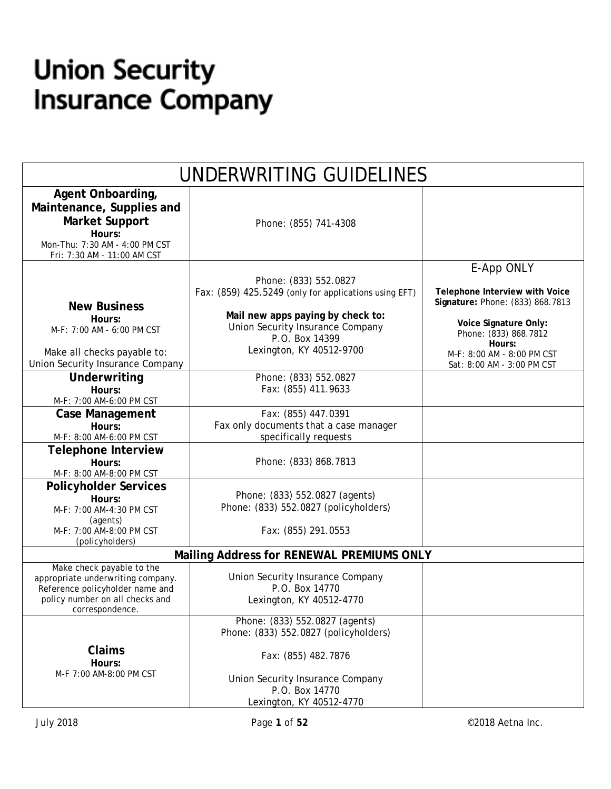# **Union Security Insurance Company**

| UNDERWRITING GUIDELINES                                                                                                                                 |                                                                                                                                                                                                       |                                                                                                                                                                            |  |
|---------------------------------------------------------------------------------------------------------------------------------------------------------|-------------------------------------------------------------------------------------------------------------------------------------------------------------------------------------------------------|----------------------------------------------------------------------------------------------------------------------------------------------------------------------------|--|
| Agent Onboarding,<br>Maintenance, Supplies and<br><b>Market Support</b><br>Hours:<br>Mon-Thu: 7:30 AM - 4:00 PM CST<br>Fri: 7:30 AM - 11:00 AM CST      | Phone: (855) 741-4308                                                                                                                                                                                 |                                                                                                                                                                            |  |
| <b>New Business</b><br>Hours:<br>M-F: 7:00 AM - 6:00 PM CST<br>Make all checks payable to:                                                              | Phone: (833) 552.0827<br>Fax: (859) 425.5249 (only for applications using EFT)<br>Mail new apps paying by check to:<br>Union Security Insurance Company<br>P.O. Box 14399<br>Lexington, KY 40512-9700 | E-App ONLY<br>Telephone Interview with Voice<br>Signature: Phone: (833) 868.7813<br>Voice Signature Only:<br>Phone: (833) 868.7812<br>Hours:<br>M-F: 8:00 AM - 8:00 PM CST |  |
| Union Security Insurance Company<br>Underwriting<br>Hours:<br>M-F: 7:00 AM-6:00 PM CST                                                                  | Phone: (833) 552.0827<br>Fax: (855) 411.9633                                                                                                                                                          | Sat: 8:00 AM - 3:00 PM CST                                                                                                                                                 |  |
| <b>Case Management</b><br>Hours:<br>M-F: 8:00 AM-6:00 PM CST                                                                                            | Fax: (855) 447.0391<br>Fax only documents that a case manager<br>specifically requests                                                                                                                |                                                                                                                                                                            |  |
| <b>Telephone Interview</b><br>Hours:<br>M-F: 8:00 AM-8:00 PM CST                                                                                        | Phone: (833) 868.7813                                                                                                                                                                                 |                                                                                                                                                                            |  |
| <b>Policyholder Services</b><br>Hours:<br>M-F: 7:00 AM-4:30 PM CST<br>(agents)<br>M-F: 7:00 AM-8:00 PM CST<br>(policyholders)                           | Phone: (833) 552.0827 (agents)<br>Phone: (833) 552.0827 (policyholders)<br>Fax: (855) 291.0553                                                                                                        |                                                                                                                                                                            |  |
|                                                                                                                                                         | Mailing Address for RENEWAL PREMIUMS ONLY                                                                                                                                                             |                                                                                                                                                                            |  |
| Make check payable to the<br>appropriate underwriting company.<br>Reference policyholder name and<br>policy number on all checks and<br>correspondence. | Union Security Insurance Company<br>P.O. Box 14770<br>Lexington, KY 40512-4770                                                                                                                        |                                                                                                                                                                            |  |
| Claims<br>Hours:<br>M-F 7:00 AM-8:00 PM CST                                                                                                             | Phone: (833) 552.0827 (agents)<br>Phone: (833) 552.0827 (policyholders)<br>Fax: (855) 482.7876<br>Union Security Insurance Company<br>P.O. Box 14770<br>Lexington, KY 40512-4770                      |                                                                                                                                                                            |  |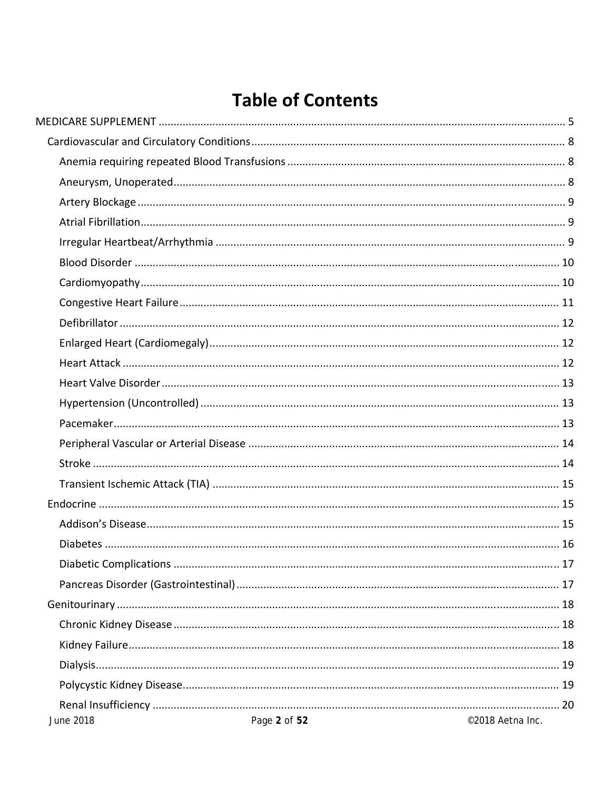## **Table of Contents**

| <b>June 2018</b> | Page 2 of 52 | ©2018 Aetna Inc. |
|------------------|--------------|------------------|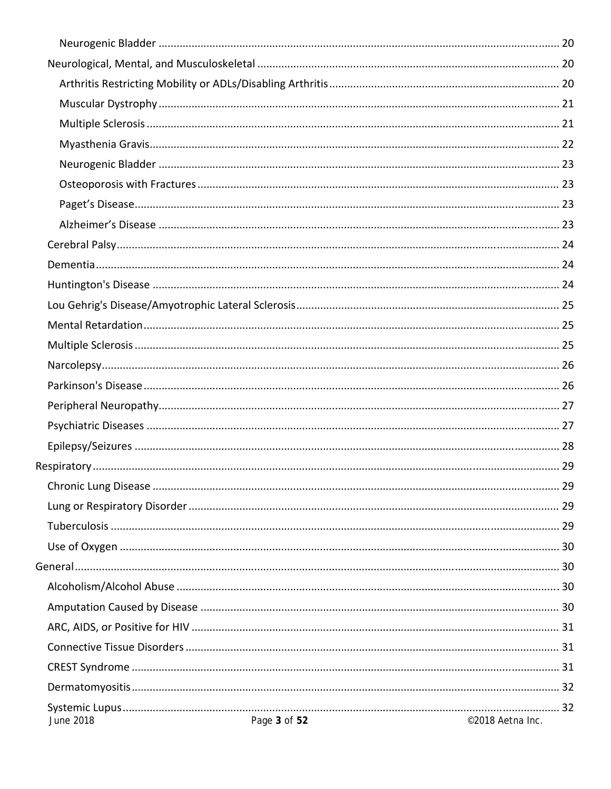| June 2018 | Page 3 of 52 | ©2018 Aetna Inc. |
|-----------|--------------|------------------|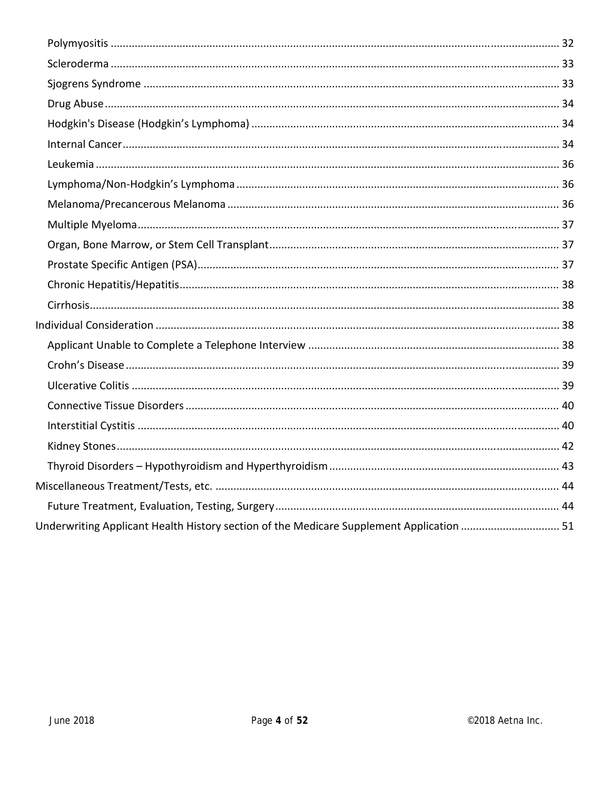| Underwriting Applicant Health History section of the Medicare Supplement Application  51 |  |
|------------------------------------------------------------------------------------------|--|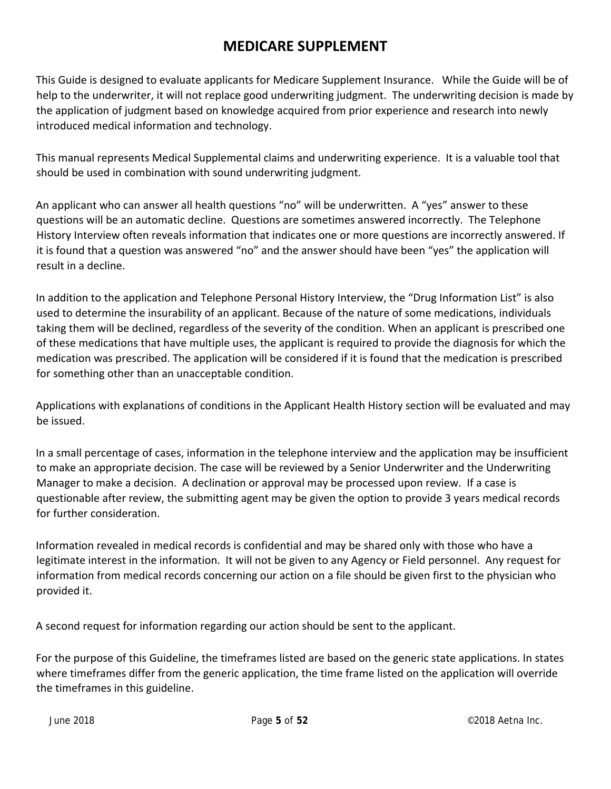## **MEDICARE SUPPLEMENT**

This Guide is designed to evaluate applicants for Medicare Supplement Insurance. While the Guide will be of help to the underwriter, it will not replace good underwriting judgment. The underwriting decision is made by the application of judgment based on knowledge acquired from prior experience and research into newly introduced medical information and technology.

This manual represents Medical Supplemental claims and underwriting experience. It is a valuable tool that should be used in combination with sound underwriting judgment.

An applicant who can answer all health questions "no" will be underwritten. A "yes" answer to these questions will be an automatic decline. Questions are sometimes answered incorrectly. The Telephone History Interview often reveals information that indicates one or more questions are incorrectly answered. If it is found that a question was answered "no" and the answer should have been "yes" the application will result in a decline.

In addition to the application and Telephone Personal History Interview, the "Drug Information List" is also used to determine the insurability of an applicant. Because of the nature of some medications, individuals taking them will be declined, regardless of the severity of the condition. When an applicant is prescribed one of these medications that have multiple uses, the applicant is required to provide the diagnosis for which the medication was prescribed. The application will be considered if it is found that the medication is prescribed for something other than an unacceptable condition.

Applications with explanations of conditions in the Applicant Health History section will be evaluated and may be issued.

In a small percentage of cases, information in the telephone interview and the application may be insufficient to make an appropriate decision. The case will be reviewed by a Senior Underwriter and the Underwriting Manager to make a decision. A declination or approval may be processed upon review. If a case is questionable after review, the submitting agent may be given the option to provide 3 years medical records for further consideration.

Information revealed in medical records is confidential and may be shared only with those who have a legitimate interest in the information. It will not be given to any Agency or Field personnel. Any request for information from medical records concerning our action on a file should be given first to the physician who provided it.

A second request for information regarding our action should be sent to the applicant.

For the purpose of this Guideline, the timeframes listed are based on the generic state applications. In states where timeframes differ from the generic application, the time frame listed on the application will override the timeframes in this guideline.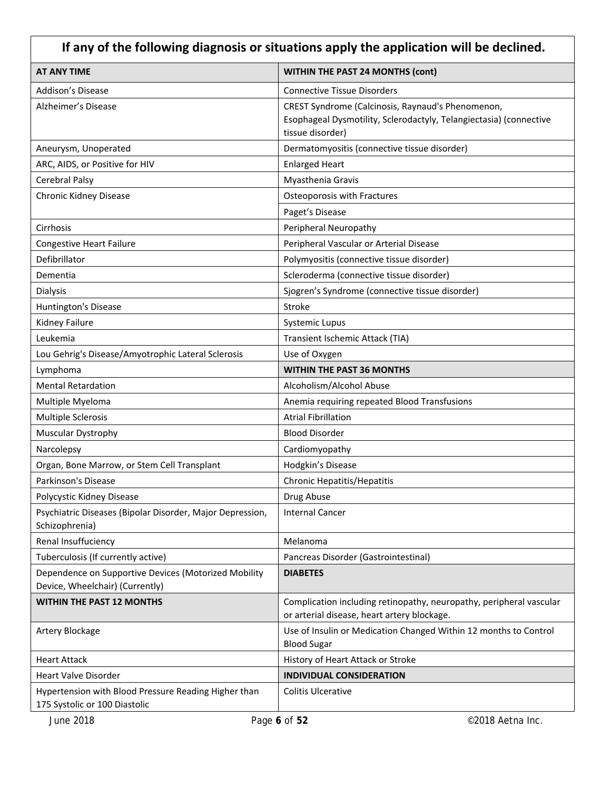| If any of the following diagnosis or situations apply the application will be declined. |                                                                                                                                             |  |
|-----------------------------------------------------------------------------------------|---------------------------------------------------------------------------------------------------------------------------------------------|--|
| <b>AT ANY TIME</b>                                                                      | <b>WITHIN THE PAST 24 MONTHS (cont)</b>                                                                                                     |  |
| <b>Addison's Disease</b>                                                                | <b>Connective Tissue Disorders</b>                                                                                                          |  |
| Alzheimer's Disease                                                                     | CREST Syndrome (Calcinosis, Raynaud's Phenomenon,<br>Esophageal Dysmotility, Sclerodactyly, Telangiectasia) (connective<br>tissue disorder) |  |
| Aneurysm, Unoperated                                                                    | Dermatomyositis (connective tissue disorder)                                                                                                |  |
| ARC, AIDS, or Positive for HIV                                                          | <b>Enlarged Heart</b>                                                                                                                       |  |
| <b>Cerebral Palsy</b>                                                                   | Myasthenia Gravis                                                                                                                           |  |
| Chronic Kidney Disease                                                                  | Osteoporosis with Fractures                                                                                                                 |  |
|                                                                                         | Paget's Disease                                                                                                                             |  |
| Cirrhosis                                                                               | Peripheral Neuropathy                                                                                                                       |  |
| <b>Congestive Heart Failure</b>                                                         | Peripheral Vascular or Arterial Disease                                                                                                     |  |
| Defibrillator                                                                           | Polymyositis (connective tissue disorder)                                                                                                   |  |
| Dementia                                                                                | Scleroderma (connective tissue disorder)                                                                                                    |  |
| Dialysis                                                                                | Sjogren's Syndrome (connective tissue disorder)                                                                                             |  |
| Huntington's Disease                                                                    | Stroke                                                                                                                                      |  |
| Kidney Failure                                                                          | <b>Systemic Lupus</b>                                                                                                                       |  |
| Leukemia                                                                                | Transient Ischemic Attack (TIA)                                                                                                             |  |
| Lou Gehrig's Disease/Amyotrophic Lateral Sclerosis                                      | Use of Oxygen                                                                                                                               |  |
| Lymphoma                                                                                | <b>WITHIN THE PAST 36 MONTHS</b>                                                                                                            |  |
| <b>Mental Retardation</b>                                                               | Alcoholism/Alcohol Abuse                                                                                                                    |  |
| Multiple Myeloma                                                                        | Anemia requiring repeated Blood Transfusions                                                                                                |  |
| <b>Multiple Sclerosis</b>                                                               | <b>Atrial Fibrillation</b>                                                                                                                  |  |
| Muscular Dystrophy                                                                      | <b>Blood Disorder</b>                                                                                                                       |  |
| Narcolepsy                                                                              | Cardiomyopathy                                                                                                                              |  |
| Organ, Bone Marrow, or Stem Cell Transplant                                             | Hodgkin's Disease                                                                                                                           |  |
| Parkinson's Disease                                                                     | Chronic Hepatitis/Hepatitis                                                                                                                 |  |
| Polycystic Kidney Disease                                                               | Drug Abuse                                                                                                                                  |  |
| Psychiatric Diseases (Bipolar Disorder, Major Depression,<br>Schizophrenia)             | <b>Internal Cancer</b>                                                                                                                      |  |
| Renal Insuffuciency                                                                     | Melanoma                                                                                                                                    |  |
| Tuberculosis (If currently active)                                                      | Pancreas Disorder (Gastrointestinal)                                                                                                        |  |
| Dependence on Supportive Devices (Motorized Mobility<br>Device, Wheelchair) (Currently) | <b>DIABETES</b>                                                                                                                             |  |
| <b>WITHIN THE PAST 12 MONTHS</b>                                                        | Complication including retinopathy, neuropathy, peripheral vascular<br>or arterial disease, heart artery blockage.                          |  |
| Artery Blockage                                                                         | Use of Insulin or Medication Changed Within 12 months to Control<br><b>Blood Sugar</b>                                                      |  |
| <b>Heart Attack</b>                                                                     | History of Heart Attack or Stroke                                                                                                           |  |
| <b>Heart Valve Disorder</b>                                                             | <b>INDIVIDUAL CONSIDERATION</b>                                                                                                             |  |
| Hypertension with Blood Pressure Reading Higher than<br>175 Systolic or 100 Diastolic   | <b>Colitis Ulcerative</b>                                                                                                                   |  |
| June 2018                                                                               | Page 6 of 52<br>©2018 Aetna Inc.                                                                                                            |  |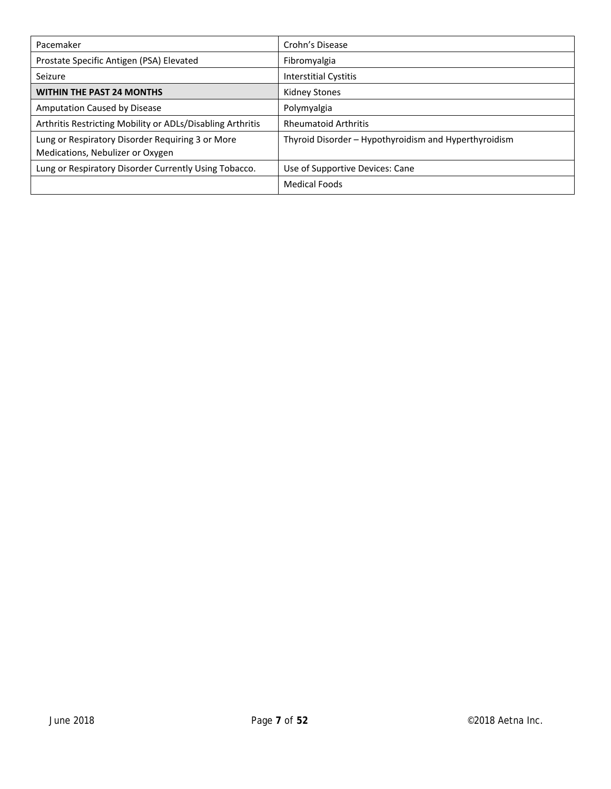| Pacemaker                                                                            | Crohn's Disease                                       |  |
|--------------------------------------------------------------------------------------|-------------------------------------------------------|--|
| Prostate Specific Antigen (PSA) Elevated                                             | Fibromyalgia                                          |  |
| Seizure                                                                              | Interstitial Cystitis                                 |  |
| <b>WITHIN THE PAST 24 MONTHS</b>                                                     | Kidney Stones                                         |  |
| Amputation Caused by Disease                                                         | Polymyalgia                                           |  |
| Arthritis Restricting Mobility or ADLs/Disabling Arthritis                           | <b>Rheumatoid Arthritis</b>                           |  |
| Lung or Respiratory Disorder Requiring 3 or More<br>Medications, Nebulizer or Oxygen | Thyroid Disorder – Hypothyroidism and Hyperthyroidism |  |
| Lung or Respiratory Disorder Currently Using Tobacco.                                | Use of Supportive Devices: Cane                       |  |
|                                                                                      | Medical Foods                                         |  |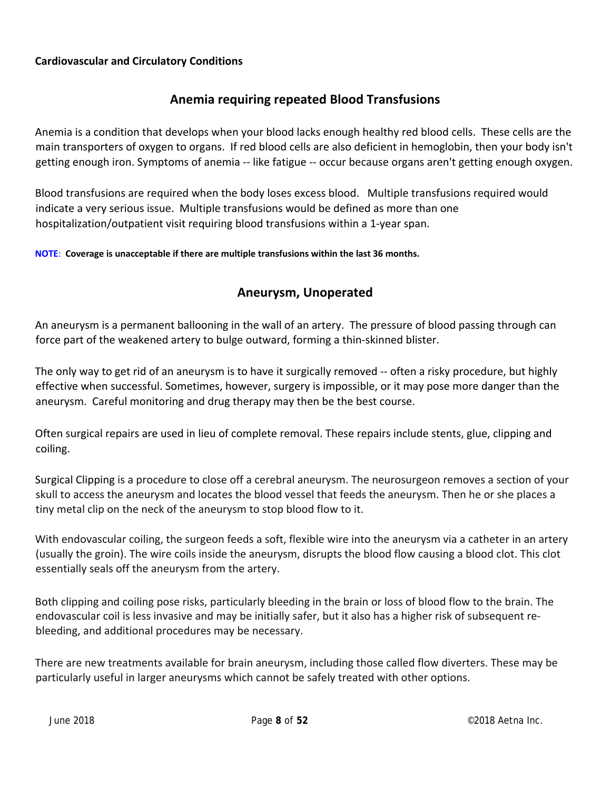#### **Cardiovascular and Circulatory Conditions**

#### **Anemia requiring repeated Blood Transfusions**

Anemia is a condition that develops when your blood lacks enough healthy red blood cells. These cells are the main transporters of oxygen to organs. If red blood cells are also deficient in hemoglobin, then your body isn't getting enough iron. Symptoms of anemia ‐‐ like fatigue ‐‐ occur because organs aren't getting enough oxygen.

Blood transfusions are required when the body loses excess blood. Multiple transfusions required would indicate a very serious issue. Multiple transfusions would be defined as more than one hospitalization/outpatient visit requiring blood transfusions within a 1‐year span.

**NOTE**: **Coverage is unacceptable if there are multiple transfusions within the last 36 months.**

## **Aneurysm, Unoperated**

An aneurysm is a permanent ballooning in the wall of an artery. The pressure of blood passing through can force part of the weakened artery to bulge outward, forming a thin‐skinned blister.

The only way to get rid of an aneurysm is to have it surgically removed -- often a risky procedure, but highly effective when successful. Sometimes, however, surgery is impossible, or it may pose more danger than the aneurysm. Careful monitoring and drug therapy may then be the best course.

Often surgical repairs are used in lieu of complete removal. These repairs include stents, glue, clipping and coiling.

Surgical Clipping is a procedure to close off a cerebral aneurysm. The neurosurgeon removes a section of your skull to access the aneurysm and locates the blood vessel that feeds the aneurysm. Then he or she places a tiny metal clip on the neck of the aneurysm to stop blood flow to it.

With endovascular coiling, the surgeon feeds a soft, flexible wire into the aneurysm via a catheter in an artery (usually the groin). The wire coils inside the aneurysm, disrupts the blood flow causing a blood clot. This clot essentially seals off the aneurysm from the artery.

Both clipping and coiling pose risks, particularly bleeding in the brain or loss of blood flow to the brain. The endovascular coil is less invasive and may be initially safer, but it also has a higher risk of subsequent re‐ bleeding, and additional procedures may be necessary.

There are new treatments available for brain aneurysm, including those called flow diverters. These may be particularly useful in larger aneurysms which cannot be safely treated with other options.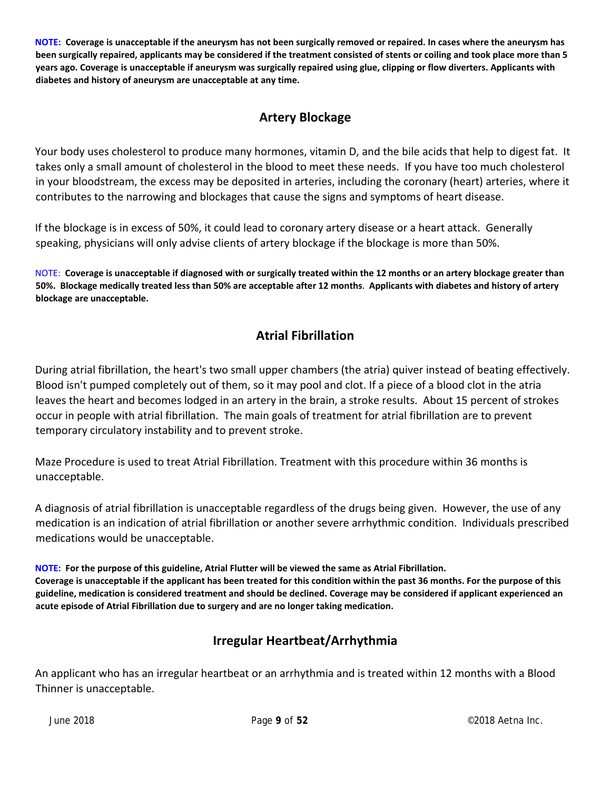NOTE: Coverage is unacceptable if the aneurysm has not been surgically removed or repaired. In cases where the aneurysm has been surgically repaired, applicants may be considered if the treatment consisted of stents or coiling and took place more than 5 years ago. Coverage is unacceptable if aneurysm was surgically repaired using glue, clipping or flow diverters. Applicants with **diabetes and history of aneurysm are unacceptable at any time.**

## **Artery Blockage**

Your body uses cholesterol to produce many hormones, vitamin D, and the bile acids that help to digest fat. It takes only a small amount of cholesterol in the blood to meet these needs. If you have too much cholesterol in your bloodstream, the excess may be deposited in arteries, including the coronary (heart) arteries, where it contributes to the narrowing and blockages that cause the signs and symptoms of heart disease.

If the blockage is in excess of 50%, it could lead to coronary artery disease or a heart attack. Generally speaking, physicians will only advise clients of artery blockage if the blockage is more than 50%.

NOTE: Coverage is unacceptable if diagnosed with or surgically treated within the 12 months or an artery blockage greater than 50%. Blockage medically treated less than 50% are acceptable after 12 months. Applicants with diabetes and history of artery **blockage are unacceptable.**

## **Atrial Fibrillation**

During atrial fibrillation, the heart's two small upper chambers (the atria) quiver instead of beating effectively. Blood isn't pumped completely out of them, so it may pool and clot. If a piece of a blood clot in the atria leaves the heart and becomes lodged in an artery in the brain, a stroke results. About 15 percent of strokes occur in people with atrial fibrillation. The main goals of treatment for atrial fibrillation are to prevent temporary circulatory instability and to prevent stroke.

Maze Procedure is used to treat Atrial Fibrillation. Treatment with this procedure within 36 months is unacceptable.

A diagnosis of atrial fibrillation is unacceptable regardless of the drugs being given. However, the use of any medication is an indication of atrial fibrillation or another severe arrhythmic condition. Individuals prescribed medications would be unacceptable.

NOTE: For the purpose of this guideline, Atrial Flutter will be viewed the same as Atrial Fibrillation. Coverage is unacceptable if the applicant has been treated for this condition within the past 36 months. For the purpose of this guideline, medication is considered treatment and should be declined. Coverage may be considered if applicant experienced an **acute episode of Atrial Fibrillation due to surgery and are no longer taking medication.**

## **Irregular Heartbeat/Arrhythmia**

An applicant who has an irregular heartbeat or an arrhythmia and is treated within 12 months with a Blood Thinner is unacceptable.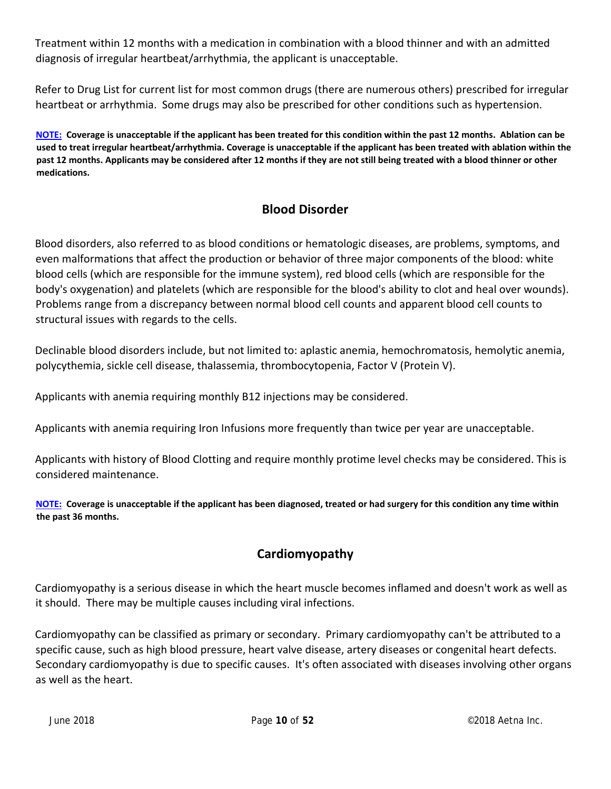Treatment within 12 months with a medication in combination with a blood thinner and with an admitted diagnosis of irregular heartbeat/arrhythmia, the applicant is unacceptable.

Refer to Drug List for current list for most common drugs (there are numerous others) prescribed for irregular heartbeat or arrhythmia. Some drugs may also be prescribed for other conditions such as hypertension.

NOTE: Coverage is unacceptable if the applicant has been treated for this condition within the past 12 months. Ablation can be used to treat irregular heartbeat/arrhythmia. Coverage is unacceptable if the applicant has been treated with ablation within the past 12 months. Applicants may be considered after 12 months if they are not still being treated with a blood thinner or other **medications.**

## **Blood Disorder**

Blood disorders, also referred to as blood conditions or hematologic diseases, are problems, symptoms, and even malformations that affect the production or behavior of three major components of the blood: white blood cells (which are responsible for the immune system), red blood cells (which are responsible for the body's oxygenation) and platelets (which are responsible for the blood's ability to clot and heal over wounds). Problems range from a discrepancy between normal blood cell counts and apparent blood cell counts to structural issues with regards to the cells.

Declinable blood disorders include, but not limited to: aplastic anemia, hemochromatosis, hemolytic anemia, polycythemia, sickle cell disease, thalassemia, thrombocytopenia, Factor V (Protein V).

Applicants with anemia requiring monthly B12 injections may be considered.

Applicants with anemia requiring Iron Infusions more frequently than twice per year are unacceptable.

Applicants with history of Blood Clotting and require monthly protime level checks may be considered. This is considered maintenance.

NOTE: Coverage is unacceptable if the applicant has been diagnosed, treated or had surgery for this condition any time within **the past 36 months.**

## **Cardiomyopathy**

Cardiomyopathy is a serious disease in which the heart muscle becomes inflamed and doesn't work as well as it should. There may be multiple causes including viral infections.

Cardiomyopathy can be classified as primary or secondary. Primary cardiomyopathy can't be attributed to a specific cause, such as high blood pressure, heart valve disease, artery diseases or congenital heart defects. Secondary cardiomyopathy is due to specific causes. It's often associated with diseases involving other organs as well as the heart.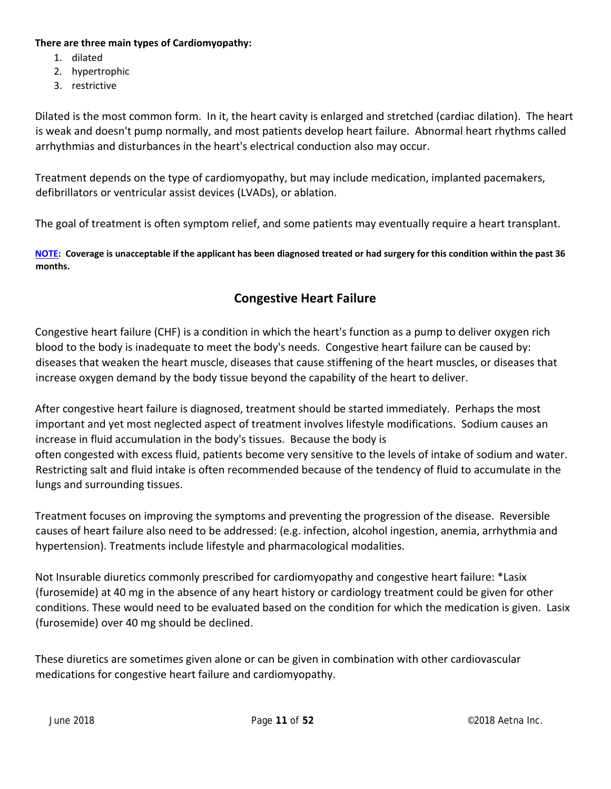#### **There are three main types of Cardiomyopathy:**

- 1. dilated
- 2. hypertrophic
- 3. restrictive

Dilated is the most common form. In it, the heart cavity is enlarged and stretched (cardiac dilation). The heart is weak and doesn't pump normally, and most patients develop heart failure. Abnormal heart rhythms called arrhythmias and disturbances in the heart's electrical conduction also may occur.

Treatment depends on the type of cardiomyopathy, but may include medication, implanted pacemakers, defibrillators or ventricular assist devices (LVADs), or ablation.

The goal of treatment is often symptom relief, and some patients may eventually require a heart transplant.

NOTE: Coverage is unacceptable if the applicant has been diagnosed treated or had surgery for this condition within the past 36 **months.**

## **Congestive Heart Failure**

Congestive heart failure (CHF) is a condition in which the heart's function as a pump to deliver oxygen rich blood to the body is inadequate to meet the body's needs. Congestive heart failure can be caused by: diseases that weaken the heart muscle, diseases that cause stiffening of the heart muscles, or diseases that increase oxygen demand by the body tissue beyond the capability of the heart to deliver.

After congestive heart failure is diagnosed, treatment should be started immediately. Perhaps the most important and yet most neglected aspect of treatment involves lifestyle modifications. Sodium causes an increase in fluid accumulation in the body's tissues. Because the body is often congested with excess fluid, patients become very sensitive to the levels of intake of sodium and water. Restricting salt and fluid intake is often recommended because of the tendency of fluid to accumulate in the lungs and surrounding tissues.

Treatment focuses on improving the symptoms and preventing the progression of the disease. Reversible causes of heart failure also need to be addressed: (e.g. infection, alcohol ingestion, anemia, arrhythmia and hypertension). Treatments include lifestyle and pharmacological modalities.

Not Insurable diuretics commonly prescribed for cardiomyopathy and congestive heart failure: \*Lasix (furosemide) at 40 mg in the absence of any heart history or cardiology treatment could be given for other conditions. These would need to be evaluated based on the condition for which the medication is given. Lasix (furosemide) over 40 mg should be declined.

These diuretics are sometimes given alone or can be given in combination with other cardiovascular medications for congestive heart failure and cardiomyopathy.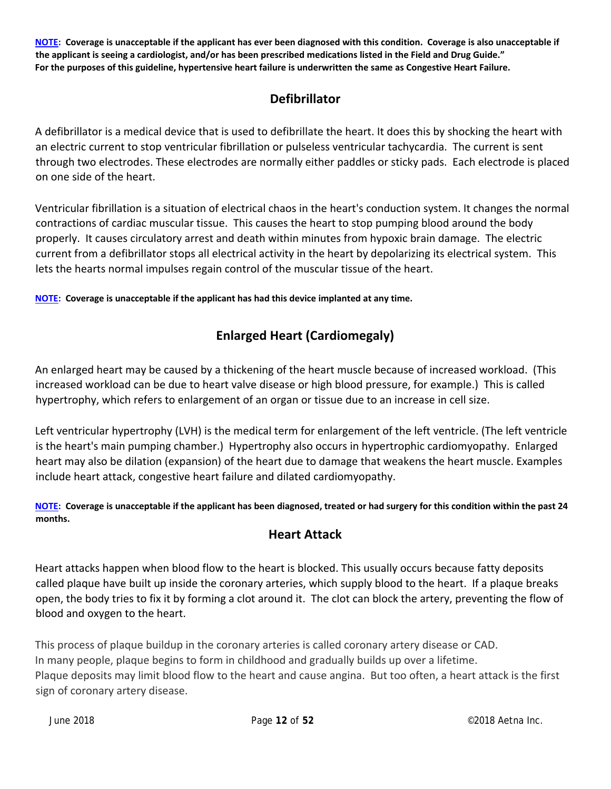NOTE: Coverage is unacceptable if the applicant has ever been diagnosed with this condition. Coverage is also unacceptable if the applicant is seeing a cardiologist, and/or has been prescribed medications listed in the Field and Drug Guide." For the purposes of this guideline, hypertensive heart failure is underwritten the same as Congestive Heart Failure.

## **Defibrillator**

A defibrillator is a medical device that is used to defibrillate the heart. It does this by shocking the heart with an electric current to stop ventricular fibrillation or pulseless ventricular tachycardia. The current is sent through two electrodes. These electrodes are normally either paddles or sticky pads. Each electrode is placed on one side of the heart.

Ventricular fibrillation is a situation of electrical chaos in the heart's conduction system. It changes the normal contractions of cardiac muscular tissue. This causes the heart to stop pumping blood around the body properly. It causes circulatory arrest and death within minutes from hypoxic brain damage. The electric current from a defibrillator stops all electrical activity in the heart by depolarizing its electrical system. This lets the hearts normal impulses regain control of the muscular tissue of the heart.

**NOTE: Coverage is unacceptable if the applicant has had this device implanted at any time.**

## **Enlarged Heart (Cardiomegaly)**

An enlarged heart may be caused by a thickening of the heart muscle because of increased workload. (This increased workload can be due to heart valve disease or high blood pressure, for example.) This is called hypertrophy, which refers to enlargement of an organ or tissue due to an increase in cell size.

Left ventricular hypertrophy (LVH) is the medical term for enlargement of the left ventricle. (The left ventricle is the heart's main pumping chamber.) Hypertrophy also occurs in hypertrophic cardiomyopathy. Enlarged heart may also be dilation (expansion) of the heart due to damage that weakens the heart muscle. Examples include heart attack, congestive heart failure and dilated cardiomyopathy.

#### NOTE: Coverage is unacceptable if the applicant has been diagnosed, treated or had surgery for this condition within the past 24 **months.**

## **Heart Attack**

Heart attacks happen when blood flow to the heart is blocked. This usually occurs because fatty deposits called plaque have built up inside the coronary arteries, which supply blood to the heart. If a plaque breaks open, the body tries to fix it by forming a clot around it. The clot can block the artery, preventing the flow of blood and oxygen to the heart.

This process of plaque buildup in the coronary arteries is called coronary artery disease or CAD. In many people, plaque begins to form in childhood and gradually builds up over a lifetime. Plaque deposits may limit blood flow to the heart and cause angina. But too often, a heart attack is the first sign of coronary artery disease.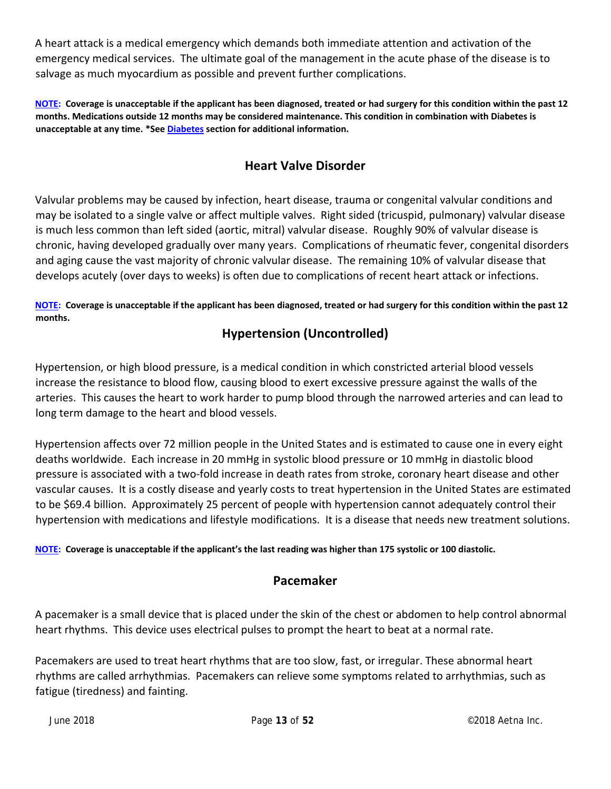A heart attack is a medical emergency which demands both immediate attention and activation of the emergency medical services. The ultimate goal of the management in the acute phase of the disease is to salvage as much myocardium as possible and prevent further complications.

NOTE: Coverage is unacceptable if the applicant has been diagnosed, treated or had surgery for this condition within the past 12 months. Medications outside 12 months may be considered maintenance. This condition in combination with Diabetes is **unacceptable at any time. \*See Diabetes section for additional information.**

## **Heart Valve Disorder**

Valvular problems may be caused by infection, heart disease, trauma or congenital valvular conditions and may be isolated to a single valve or affect multiple valves. Right sided (tricuspid, pulmonary) valvular disease is much less common than left sided (aortic, mitral) valvular disease. Roughly 90% of valvular disease is chronic, having developed gradually over many years. Complications of rheumatic fever, congenital disorders and aging cause the vast majority of chronic valvular disease. The remaining 10% of valvular disease that develops acutely (over days to weeks) is often due to complications of recent heart attack or infections.

#### NOTE: Coverage is unacceptable if the applicant has been diagnosed, treated or had surgery for this condition within the past 12 **months.**

## **Hypertension (Uncontrolled)**

Hypertension, or high blood pressure, is a medical condition in which constricted arterial blood vessels increase the resistance to blood flow, causing blood to exert excessive pressure against the walls of the arteries. This causes the heart to work harder to pump blood through the narrowed arteries and can lead to long term damage to the heart and blood vessels.

Hypertension affects over 72 million people in the United States and is estimated to cause one in every eight deaths worldwide. Each increase in 20 mmHg in systolic blood pressure or 10 mmHg in diastolic blood pressure is associated with a two‐fold increase in death rates from stroke, coronary heart disease and other vascular causes. It is a costly disease and yearly costs to treat hypertension in the United States are estimated to be \$69.4 billion. Approximately 25 percent of people with hypertension cannot adequately control their hypertension with medications and lifestyle modifications. It is a disease that needs new treatment solutions.

NOTE: Coverage is unacceptable if the applicant's the last reading was higher than 175 systolic or 100 diastolic.

#### **Pacemaker**

A pacemaker is a small device that is placed under the skin of the chest or abdomen to help control abnormal heart rhythms. This device uses electrical pulses to prompt the heart to beat at a normal rate.

Pacemakers are used to treat heart rhythms that are too slow, fast, or irregular. These abnormal heart rhythms are called arrhythmias. Pacemakers can relieve some symptoms related to arrhythmias, such as fatigue (tiredness) and fainting.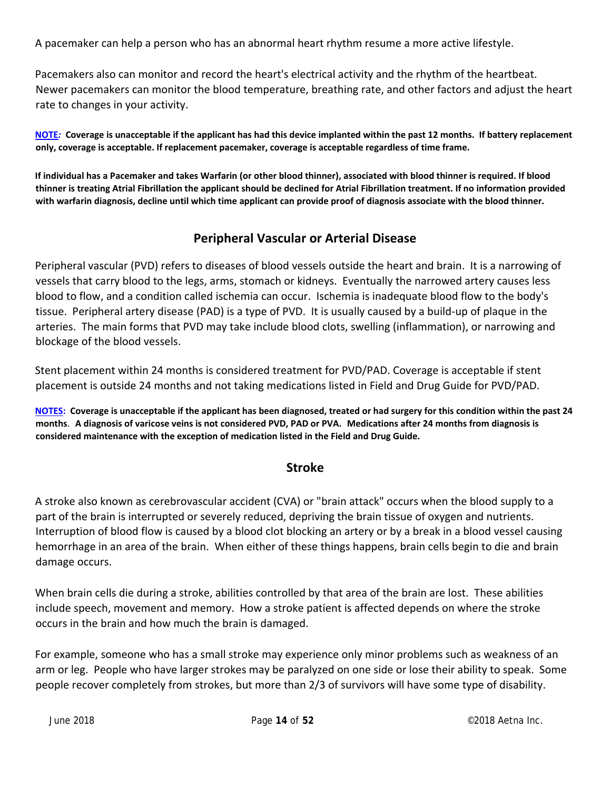A pacemaker can help a person who has an abnormal heart rhythm resume a more active lifestyle.

Pacemakers also can monitor and record the heart's electrical activity and the rhythm of the heartbeat. Newer pacemakers can monitor the blood temperature, breathing rate, and other factors and adjust the heart rate to changes in your activity.

NOTE: Coverage is unacceptable if the applicant has had this device implanted within the past 12 months. If battery replacement **only, coverage is acceptable. If replacement pacemaker, coverage is acceptable regardless of time frame.**

If individual has a Pacemaker and takes Warfarin (or other blood thinner), associated with blood thinner is required. If blood thinner is treating Atrial Fibrillation the applicant should be declined for Atrial Fibrillation treatment. If no information provided with warfarin diagnosis, decline until which time applicant can provide proof of diagnosis associate with the blood thinner.

## **Peripheral Vascular or Arterial Disease**

Peripheral vascular (PVD) refers to diseases of blood vessels outside the heart and brain. It is a narrowing of vessels that carry blood to the legs, arms, stomach or kidneys. Eventually the narrowed artery causes less blood to flow, and a condition called ischemia can occur. Ischemia is inadequate blood flow to the body's tissue. Peripheral artery disease (PAD) is a type of PVD. It is usually caused by a build‐up of plaque in the arteries. The main forms that PVD may take include blood clots, swelling (inflammation), or narrowing and blockage of the blood vessels.

Stent placement within 24 months is considered treatment for PVD/PAD. Coverage is acceptable if stent placement is outside 24 months and not taking medications listed in Field and Drug Guide for PVD/PAD.

NOTES: Coverage is unacceptable if the applicant has been diagnosed, treated or had surgery for this condition within the past 24 months. A diagnosis of varicose veins is not considered PVD, PAD or PVA. Medications after 24 months from diagnosis is **considered maintenance with the exception of medication listed in the Field and Drug Guide.**

## **Stroke**

A stroke also known as cerebrovascular accident (CVA) or "brain attack" occurs when the blood supply to a part of the brain is interrupted or severely reduced, depriving the brain tissue of oxygen and nutrients. Interruption of blood flow is caused by a blood clot blocking an artery or by a break in a blood vessel causing hemorrhage in an area of the brain. When either of these things happens, brain cells begin to die and brain damage occurs.

When brain cells die during a stroke, abilities controlled by that area of the brain are lost. These abilities include speech, movement and memory. How a stroke patient is affected depends on where the stroke occurs in the brain and how much the brain is damaged.

For example, someone who has a small stroke may experience only minor problems such as weakness of an arm or leg. People who have larger strokes may be paralyzed on one side or lose their ability to speak. Some people recover completely from strokes, but more than 2/3 of survivors will have some type of disability.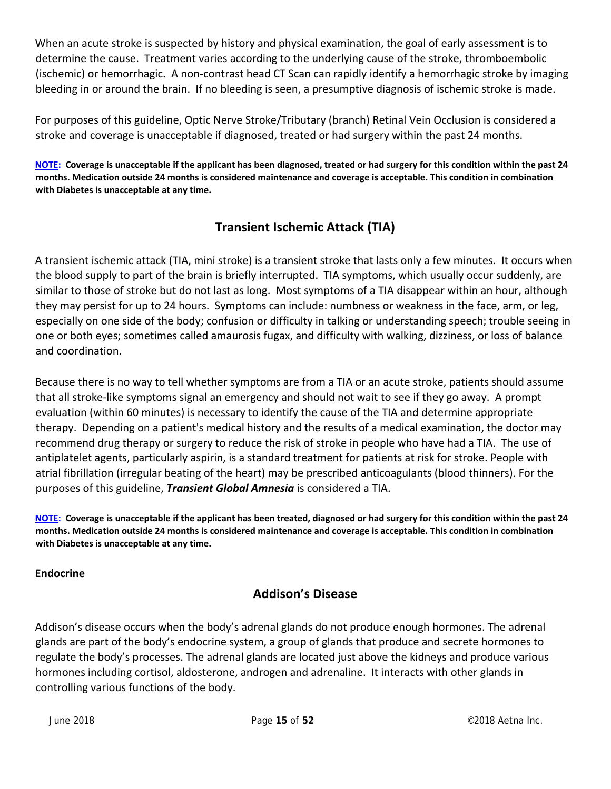When an acute stroke is suspected by history and physical examination, the goal of early assessment is to determine the cause. Treatment varies according to the underlying cause of the stroke, thromboembolic (ischemic) or hemorrhagic. A non‐contrast head CT Scan can rapidly identify a hemorrhagic stroke by imaging bleeding in or around the brain. If no bleeding is seen, a presumptive diagnosis of ischemic stroke is made.

For purposes of this guideline, Optic Nerve Stroke/Tributary (branch) Retinal Vein Occlusion is considered a stroke and coverage is unacceptable if diagnosed, treated or had surgery within the past 24 months.

NOTE: Coverage is unacceptable if the applicant has been diagnosed, treated or had surgery for this condition within the past 24 months. Medication outside 24 months is considered maintenance and coverage is acceptable. This condition in combination **with Diabetes is unacceptable at any time.**

## **Transient Ischemic Attack (TIA)**

A transient ischemic attack (TIA, mini stroke) is a transient stroke that lasts only a few minutes. It occurs when the blood supply to part of the brain is briefly interrupted. TIA symptoms, which usually occur suddenly, are similar to those of stroke but do not last as long. Most symptoms of a TIA disappear within an hour, although they may persist for up to 24 hours. Symptoms can include: numbness or weakness in the face, arm, or leg, especially on one side of the body; confusion or difficulty in talking or understanding speech; trouble seeing in one or both eyes; sometimes called amaurosis fugax, and difficulty with walking, dizziness, or loss of balance and coordination.

Because there is no way to tell whether symptoms are from a TIA or an acute stroke, patients should assume that all stroke‐like symptoms signal an emergency and should not wait to see if they go away. A prompt evaluation (within 60 minutes) is necessary to identify the cause of the TIA and determine appropriate therapy. Depending on a patient's medical history and the results of a medical examination, the doctor may recommend drug therapy or surgery to reduce the risk of stroke in people who have had a TIA. The use of antiplatelet agents, particularly aspirin, is a standard treatment for patients at risk for stroke. People with atrial fibrillation (irregular beating of the heart) may be prescribed anticoagulants (blood thinners). For the purposes of this guideline, *Transient Global Amnesia* is considered a TIA.

NOTE: Coverage is unacceptable if the applicant has been treated, diagnosed or had surgery for this condition within the past 24 months. Medication outside 24 months is considered maintenance and coverage is acceptable. This condition in combination **with Diabetes is unacceptable at any time.**

#### **Endocrine**

## **Addison's Disease**

Addison's disease occurs when the body's adrenal glands do not produce enough hormones. The adrenal glands are part of the body's endocrine system, a group of glands that produce and secrete hormones to regulate the body's processes. The adrenal glands are located just above the kidneys and produce various hormones including cortisol, aldosterone, androgen and adrenaline. It interacts with other glands in controlling various functions of the body.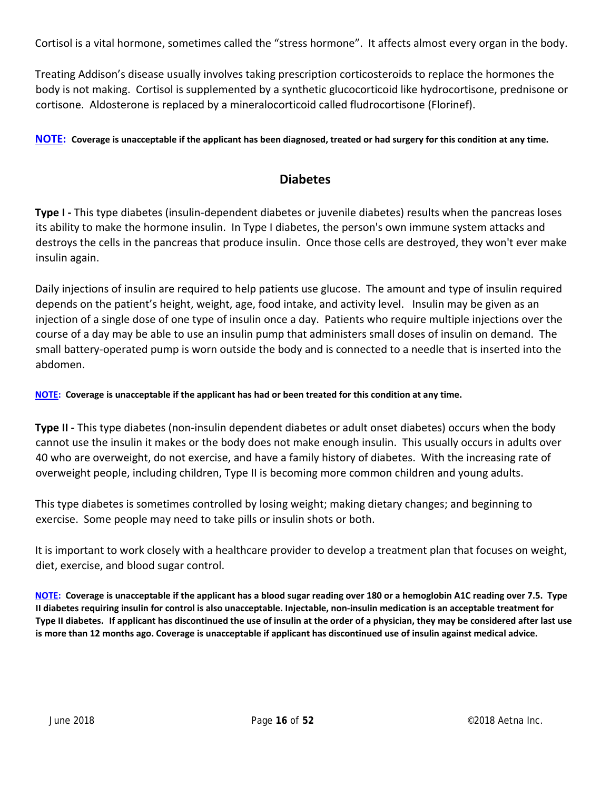Cortisol is a vital hormone, sometimes called the "stress hormone". It affects almost every organ in the body.

Treating Addison's disease usually involves taking prescription corticosteroids to replace the hormones the body is not making. Cortisol is supplemented by a synthetic glucocorticoid like hydrocortisone, prednisone or cortisone. Aldosterone is replaced by a mineralocorticoid called fludrocortisone (Florinef).

NOTE: Coverage is unacceptable if the applicant has been diagnosed, treated or had surgery for this condition at any time.

#### **Diabetes**

**Type I** - This type diabetes (insulin-dependent diabetes or juvenile diabetes) results when the pancreas loses its ability to make the hormone insulin. In Type I diabetes, the person's own immune system attacks and destroys the cells in the pancreas that produce insulin. Once those cells are destroyed, they won't ever make insulin again.

Daily injections of insulin are required to help patients use glucose. The amount and type of insulin required depends on the patient's height, weight, age, food intake, and activity level. Insulin may be given as an injection of a single dose of one type of insulin once a day. Patients who require multiple injections over the course of a day may be able to use an insulin pump that administers small doses of insulin on demand. The small battery‐operated pump is worn outside the body and is connected to a needle that is inserted into the abdomen.

NOTE: Coverage is unacceptable if the applicant has had or been treated for this condition at any time.

**Type II ‐** This type diabetes (non‐insulin dependent diabetes or adult onset diabetes) occurs when the body cannot use the insulin it makes or the body does not make enough insulin. This usually occurs in adults over 40 who are overweight, do not exercise, and have a family history of diabetes. With the increasing rate of overweight people, including children, Type II is becoming more common children and young adults.

This type diabetes is sometimes controlled by losing weight; making dietary changes; and beginning to exercise. Some people may need to take pills or insulin shots or both.

It is important to work closely with a healthcare provider to develop a treatment plan that focuses on weight, diet, exercise, and blood sugar control.

NOTE: Coverage is unacceptable if the applicant has a blood sugar reading over 180 or a hemoglobin A1C reading over 7.5. Type Il diabetes requiring insulin for control is also unacceptable. Injectable, non-insulin medication is an acceptable treatment for Type II diabetes. If applicant has discontinued the use of insulin at the order of a physician, they may be considered after last use is more than 12 months ago. Coverage is unacceptable if applicant has discontinued use of insulin against medical advice.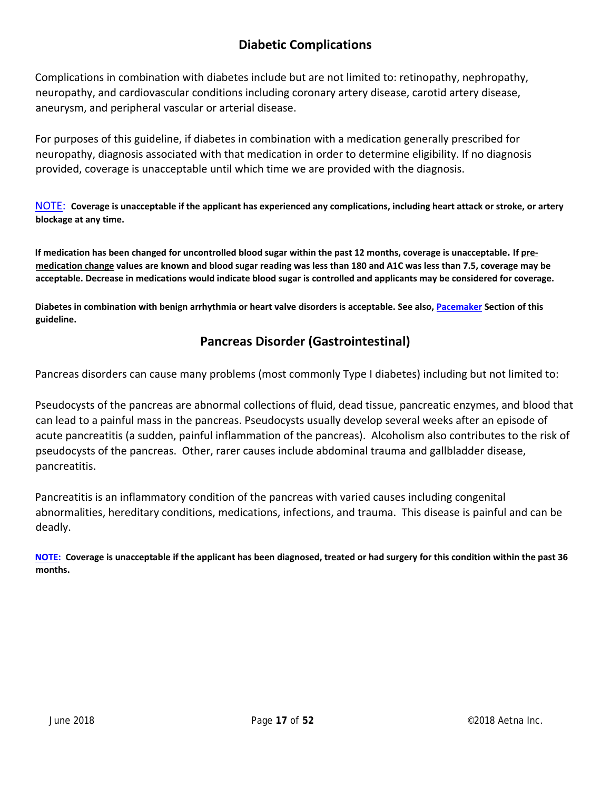## **Diabetic Complications**

Complications in combination with diabetes include but are not limited to: retinopathy, nephropathy, neuropathy, and cardiovascular conditions including coronary artery disease, carotid artery disease, aneurysm, and peripheral vascular or arterial disease.

For purposes of this guideline, if diabetes in combination with a medication generally prescribed for neuropathy, diagnosis associated with that medication in order to determine eligibility. If no diagnosis provided, coverage is unacceptable until which time we are provided with the diagnosis.

 $\overline{\text{NOTE}}$ : Coverage is unacceptable if the applicant has experienced any complications, including heart attack or stroke, or artery **blockage at any time.**

If medication has been changed for uncontrolled blood sugar within the past 12 months, coverage is unacceptable. If premedication change values are known and blood sugar reading was less than 180 and A1C was less than 7.5, coverage may be acceptable. Decrease in medications would indicate blood sugar is controlled and applicants may be considered for coverage.

Diabetes in combination with benign arrhythmia or heart valve disorders is acceptable. See also, Pacemaker Section of this **guideline.**

## **Pancreas Disorder (Gastrointestinal)**

Pancreas disorders can cause many problems (most commonly Type I diabetes) including but not limited to:

Pseudocysts of the pancreas are abnormal collections of fluid, dead tissue, pancreatic enzymes, and blood that can lead to a painful mass in the pancreas. Pseudocysts usually develop several weeks after an episode of acute pancreatitis (a sudden, painful inflammation of the pancreas). Alcoholism also contributes to the risk of pseudocysts of the pancreas. Other, rarer causes include abdominal trauma and gallbladder disease, pancreatitis.

Pancreatitis is an inflammatory condition of the pancreas with varied causes including congenital abnormalities, hereditary conditions, medications, infections, and trauma. This disease is painful and can be deadly.

NOTE: Coverage is unacceptable if the applicant has been diagnosed, treated or had surgery for this condition within the past 36 **months.**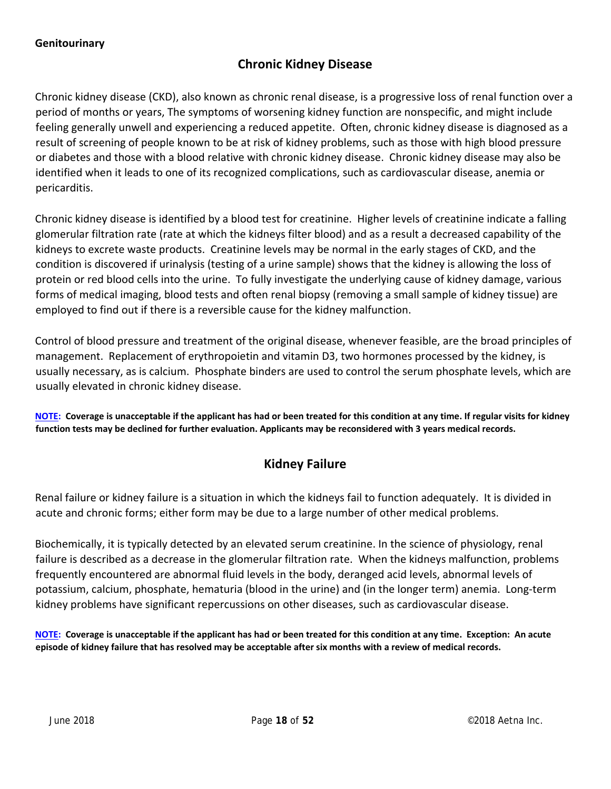#### **Chronic Kidney Disease**

Chronic kidney disease (CKD), also known as chronic renal disease, is a progressive loss of renal function over a period of months or years, The symptoms of worsening kidney function are nonspecific, and might include feeling generally unwell and experiencing a reduced appetite. Often, chronic kidney disease is diagnosed as a result of screening of people known to be at risk of kidney problems, such as those with high blood pressure or diabetes and those with a blood relative with chronic kidney disease. Chronic kidney disease may also be identified when it leads to one of its recognized complications, such as cardiovascular disease, anemia or pericarditis.

Chronic kidney disease is identified by a blood test for creatinine. Higher levels of creatinine indicate a falling glomerular filtration rate (rate at which the kidneys filter blood) and as a result a decreased capability of the kidneys to excrete waste products. Creatinine levels may be normal in the early stages of CKD, and the condition is discovered if urinalysis (testing of a urine sample) shows that the kidney is allowing the loss of protein or red blood cells into the urine. To fully investigate the underlying cause of kidney damage, various forms of medical imaging, blood tests and often renal biopsy (removing a small sample of kidney tissue) are employed to find out if there is a reversible cause for the kidney malfunction.

Control of blood pressure and treatment of the original disease, whenever feasible, are the broad principles of management. Replacement of erythropoietin and vitamin D3, two hormones processed by the kidney, is usually necessary, as is calcium. Phosphate binders are used to control the serum phosphate levels, which are usually elevated in chronic kidney disease.

NOTE: Coverage is unacceptable if the applicant has had or been treated for this condition at any time. If regular visits for kidney function tests may be declined for further evaluation. Applicants may be reconsidered with 3 years medical records.

## **Kidney Failure**

Renal failure or kidney failure is a situation in which the kidneys fail to function adequately. It is divided in acute and chronic forms; either form may be due to a large number of other medical problems.

Biochemically, it is typically detected by an elevated serum creatinine. In the science of physiology, renal failure is described as a decrease in the glomerular filtration rate. When the kidneys malfunction, problems frequently encountered are abnormal fluid levels in the body, deranged acid levels, abnormal levels of potassium, calcium, phosphate, hematuria (blood in the urine) and (in the longer term) anemia. Long‐term kidney problems have significant repercussions on other diseases, such as cardiovascular disease.

NOTE: Coverage is unacceptable if the applicant has had or been treated for this condition at any time. Exception: An acute episode of kidney failure that has resolved may be acceptable after six months with a review of medical records.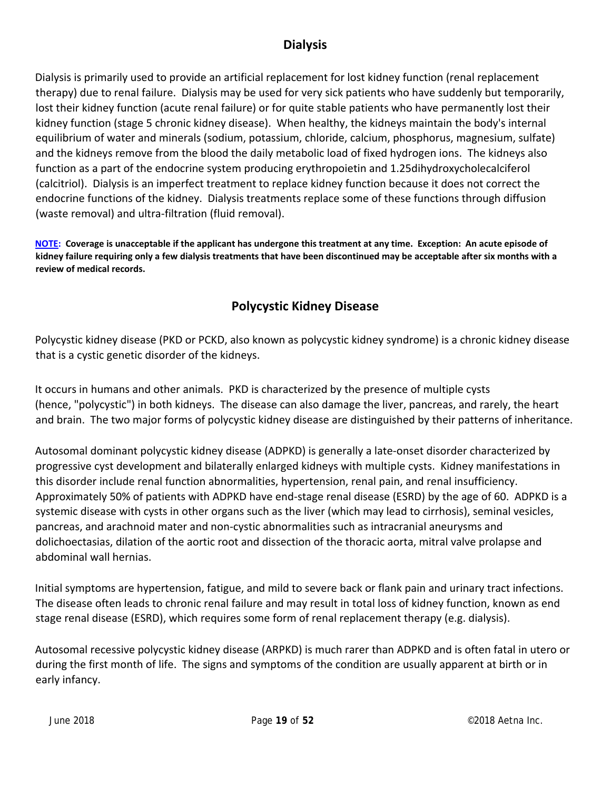## **Dialysis**

Dialysis is primarily used to provide an artificial replacement for lost kidney function (renal replacement therapy) due to renal failure. Dialysis may be used for very sick patients who have suddenly but temporarily, lost their kidney function (acute renal failure) or for quite stable patients who have permanently lost their kidney function (stage 5 chronic kidney disease). When healthy, the kidneys maintain the body's internal equilibrium of water and minerals (sodium, potassium, chloride, calcium, phosphorus, magnesium, sulfate) and the kidneys remove from the blood the daily metabolic load of fixed hydrogen ions. The kidneys also function as a part of the endocrine system producing erythropoietin and 1.25dihydroxycholecalciferol (calcitriol). Dialysis is an imperfect treatment to replace kidney function because it does not correct the endocrine functions of the kidney. Dialysis treatments replace some of these functions through diffusion (waste removal) and ultra‐filtration (fluid removal).

NOTE: Coverage is unacceptable if the applicant has undergone this treatment at any time. Exception: An acute episode of kidney failure requiring only a few dialysis treatments that have been discontinued may be acceptable after six months with a **review of medical records.**

## **Polycystic Kidney Disease**

Polycystic kidney disease (PKD or PCKD, also known as polycystic kidney syndrome) is a chronic kidney disease that is a cystic genetic disorder of the kidneys.

It occurs in humans and other animals. PKD is characterized by the presence of multiple cysts (hence, "polycystic") in both kidneys. The disease can also damage the liver, pancreas, and rarely, the heart and brain. The two major forms of polycystic kidney disease are distinguished by their patterns of inheritance.

Autosomal dominant polycystic kidney disease (ADPKD) is generally a late‐onset disorder characterized by progressive cyst development and bilaterally enlarged kidneys with multiple cysts. Kidney manifestations in this disorder include renal function abnormalities, hypertension, renal pain, and renal insufficiency. Approximately 50% of patients with ADPKD have end‐stage renal disease (ESRD) by the age of 60. ADPKD is a systemic disease with cysts in other organs such as the liver (which may lead to cirrhosis), seminal vesicles, pancreas, and arachnoid mater and non‐cystic abnormalities such as intracranial aneurysms and dolichoectasias, dilation of the aortic root and dissection of the thoracic aorta, mitral valve prolapse and abdominal wall hernias.

Initial symptoms are hypertension, fatigue, and mild to severe back or flank pain and urinary tract infections. The disease often leads to chronic renal failure and may result in total loss of kidney function, known as end stage renal disease (ESRD), which requires some form of renal replacement therapy (e.g. dialysis).

Autosomal recessive polycystic kidney disease (ARPKD) is much rarer than ADPKD and is often fatal in utero or during the first month of life. The signs and symptoms of the condition are usually apparent at birth or in early infancy.

June 2018 Page **19** of **52**  ©2018 Aetna Inc.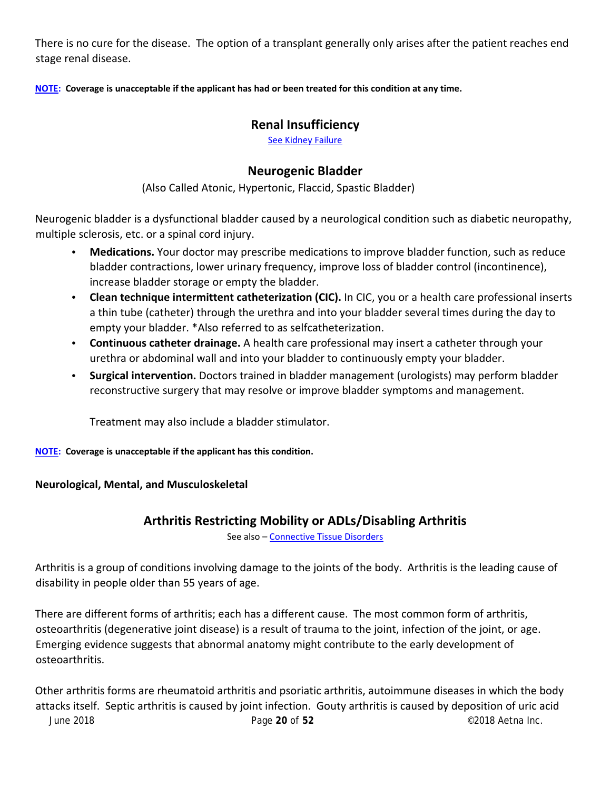There is no cure for the disease. The option of a transplant generally only arises after the patient reaches end stage renal disease.

NOTE: Coverage is unacceptable if the applicant has had or been treated for this condition at any time.

## **Renal Insufficiency**

See Kidney Failure

## **Neurogenic Bladder**

(Also Called Atonic, Hypertonic, Flaccid, Spastic Bladder)

Neurogenic bladder is a dysfunctional bladder caused by a neurological condition such as diabetic neuropathy, multiple sclerosis, etc. or a spinal cord injury.

- **Medications.** Your doctor may prescribe medications to improve bladder function, such as reduce bladder contractions, lower urinary frequency, improve loss of bladder control (incontinence), increase bladder storage or empty the bladder.
- **Clean technique intermittent catheterization (CIC).** In CIC, you or a health care professional inserts a thin tube (catheter) through the urethra and into your bladder several times during the day to empty your bladder. \*Also referred to as selfcatheterization.
- **Continuous catheter drainage.** A health care professional may insert a catheter through your urethra or abdominal wall and into your bladder to continuously empty your bladder.
- **Surgical intervention.** Doctors trained in bladder management (urologists) may perform bladder reconstructive surgery that may resolve or improve bladder symptoms and management.

Treatment may also include a bladder stimulator.

**NOTE: Coverage is unacceptable if the applicant has this condition.**

#### **Neurological, Mental, and Musculoskeletal**

#### **Arthritis Restricting Mobility or ADLs/Disabling Arthritis**

See also – Connective Tissue Disorders

Arthritis is a group of conditions involving damage to the joints of the body. Arthritis is the leading cause of disability in people older than 55 years of age.

There are different forms of arthritis; each has a different cause. The most common form of arthritis, osteoarthritis (degenerative joint disease) is a result of trauma to the joint, infection of the joint, or age. Emerging evidence suggests that abnormal anatomy might contribute to the early development of osteoarthritis.

June 2018 Page **20** of **52**  ©2018 Aetna Inc. Other arthritis forms are rheumatoid arthritis and psoriatic arthritis, autoimmune diseases in which the body attacks itself. Septic arthritis is caused by joint infection. Gouty arthritis is caused by deposition of uric acid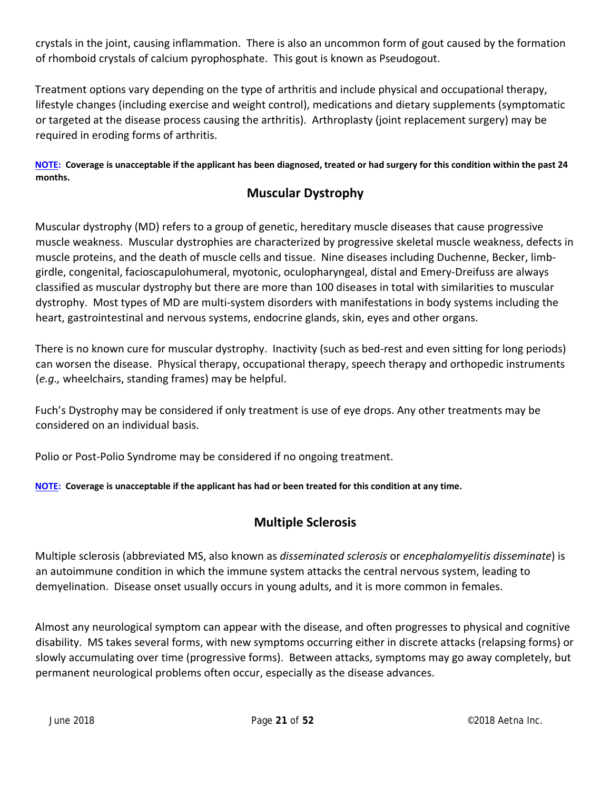crystals in the joint, causing inflammation. There is also an uncommon form of gout caused by the formation of rhomboid crystals of calcium pyrophosphate. This gout is known as Pseudogout.

Treatment options vary depending on the type of arthritis and include physical and occupational therapy, lifestyle changes (including exercise and weight control), medications and dietary supplements (symptomatic or targeted at the disease process causing the arthritis). Arthroplasty (joint replacement surgery) may be required in eroding forms of arthritis.

NOTE: Coverage is unacceptable if the applicant has been diagnosed, treated or had surgery for this condition within the past 24 **months.**

## **Muscular Dystrophy**

Muscular dystrophy (MD) refers to a group of genetic, hereditary muscle diseases that cause progressive muscle weakness. Muscular dystrophies are characterized by progressive skeletal muscle weakness, defects in muscle proteins, and the death of muscle cells and tissue. Nine diseases including Duchenne, Becker, limb‐ girdle, congenital, facioscapulohumeral, myotonic, oculopharyngeal, distal and Emery‐Dreifuss are always classified as muscular dystrophy but there are more than 100 diseases in total with similarities to muscular dystrophy. Most types of MD are multi‐system disorders with manifestations in body systems including the heart, gastrointestinal and nervous systems, endocrine glands, skin, eyes and other organs.

There is no known cure for muscular dystrophy. Inactivity (such as bed‐rest and even sitting for long periods) can worsen the disease. Physical therapy, occupational therapy, speech therapy and orthopedic instruments (*e.g.,* wheelchairs, standing frames) may be helpful.

Fuch's Dystrophy may be considered if only treatment is use of eye drops. Any other treatments may be considered on an individual basis.

Polio or Post‐Polio Syndrome may be considered if no ongoing treatment.

NOTE: Coverage is unacceptable if the applicant has had or been treated for this condition at any time.

## **Multiple Sclerosis**

Multiple sclerosis (abbreviated MS, also known as *disseminated sclerosis* or *encephalomyelitis disseminate*) is an autoimmune condition in which the immune system attacks the central nervous system, leading to demyelination. Disease onset usually occurs in young adults, and it is more common in females.

Almost any neurological symptom can appear with the disease, and often progresses to physical and cognitive disability. MS takes several forms, with new symptoms occurring either in discrete attacks (relapsing forms) or slowly accumulating over time (progressive forms). Between attacks, symptoms may go away completely, but permanent neurological problems often occur, especially as the disease advances.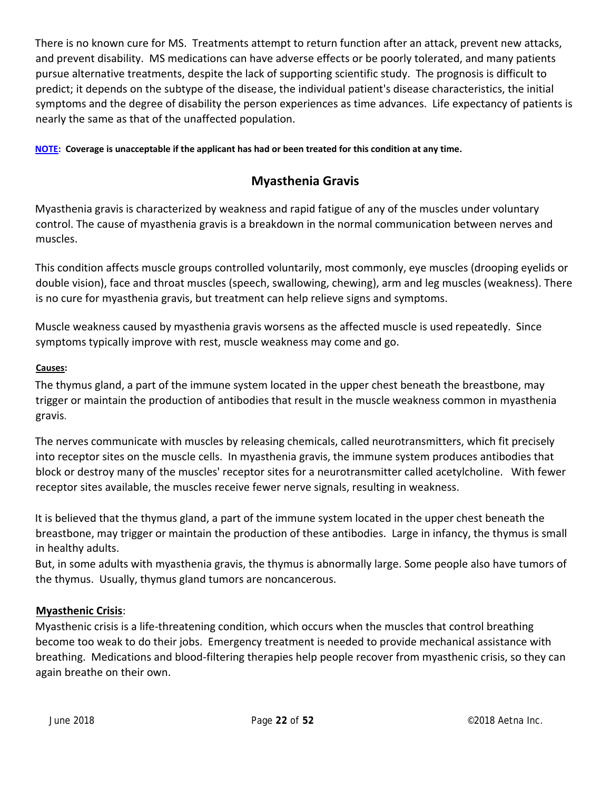There is no known cure for MS. Treatments attempt to return function after an attack, prevent new attacks, and prevent disability. MS medications can have adverse effects or be poorly tolerated, and many patients pursue alternative treatments, despite the lack of supporting scientific study. The prognosis is difficult to predict; it depends on the subtype of the disease, the individual patient's disease characteristics, the initial symptoms and the degree of disability the person experiences as time advances. Life expectancy of patients is nearly the same as that of the unaffected population.

NOTE: Coverage is unacceptable if the applicant has had or been treated for this condition at any time.

## **Myasthenia Gravis**

Myasthenia gravis is characterized by weakness and rapid fatigue of any of the muscles under voluntary control. The cause of myasthenia gravis is a breakdown in the normal communication between nerves and muscles.

This condition affects muscle groups controlled voluntarily, most commonly, eye muscles (drooping eyelids or double vision), face and throat muscles (speech, swallowing, chewing), arm and leg muscles (weakness). There is no cure for myasthenia gravis, but treatment can help relieve signs and symptoms.

Muscle weakness caused by myasthenia gravis worsens as the affected muscle is used repeatedly. Since symptoms typically improve with rest, muscle weakness may come and go.

#### **Causes:**

The thymus gland, a part of the immune system located in the upper chest beneath the breastbone, may trigger or maintain the production of antibodies that result in the muscle weakness common in myasthenia gravis.

The nerves communicate with muscles by releasing chemicals, called neurotransmitters, which fit precisely into receptor sites on the muscle cells. In myasthenia gravis, the immune system produces antibodies that block or destroy many of the muscles' receptor sites for a neurotransmitter called acetylcholine. With fewer receptor sites available, the muscles receive fewer nerve signals, resulting in weakness.

It is believed that the thymus gland, a part of the immune system located in the upper chest beneath the breastbone, may trigger or maintain the production of these antibodies. Large in infancy, the thymus is small in healthy adults.

But, in some adults with myasthenia gravis, the thymus is abnormally large. Some people also have tumors of the thymus. Usually, thymus gland tumors are noncancerous.

#### **Myasthenic Crisis**:

Myasthenic crisis is a life‐threatening condition, which occurs when the muscles that control breathing become too weak to do their jobs. Emergency treatment is needed to provide mechanical assistance with breathing. Medications and blood‐filtering therapies help people recover from myasthenic crisis, so they can again breathe on their own.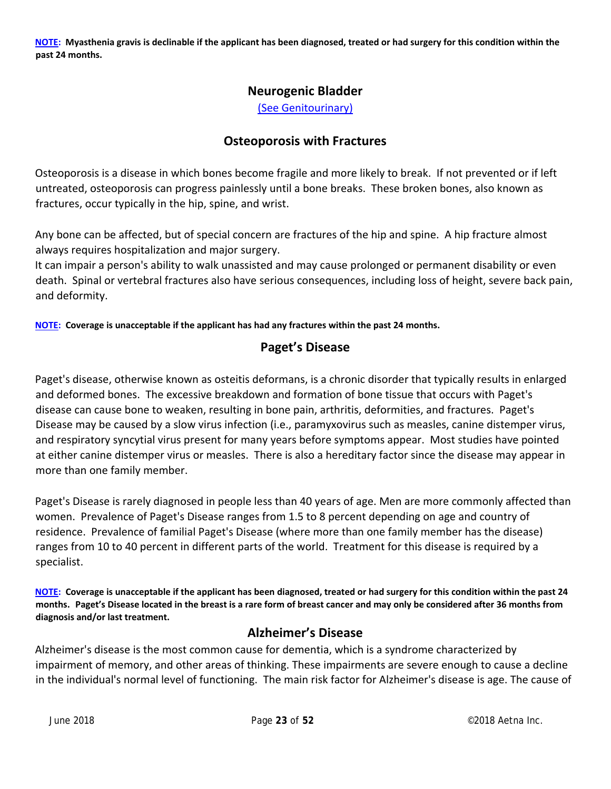NOTE: Myasthenia gravis is declinable if the applicant has been diagnosed, treated or had surgery for this condition within the **past 24 months.**

#### **Neurogenic Bladder**

(See Genitourinary)

#### **Osteoporosis with Fractures**

Osteoporosis is a disease in which bones become fragile and more likely to break. If not prevented or if left untreated, osteoporosis can progress painlessly until a bone breaks. These broken bones, also known as fractures, occur typically in the hip, spine, and wrist.

Any bone can be affected, but of special concern are fractures of the hip and spine. A hip fracture almost always requires hospitalization and major surgery.

It can impair a person's ability to walk unassisted and may cause prolonged or permanent disability or even death. Spinal or vertebral fractures also have serious consequences, including loss of height, severe back pain, and deformity.

**NOTE: Coverage is unacceptable if the applicant has had any fractures within the past 24 months.**

## **Paget's Disease**

Paget's disease, otherwise known as osteitis deformans, is a chronic disorder that typically results in enlarged and deformed bones. The excessive breakdown and formation of bone tissue that occurs with Paget's disease can cause bone to weaken, resulting in bone pain, arthritis, deformities, and fractures. Paget's Disease may be caused by a slow virus infection (i.e., paramyxovirus such as measles, canine distemper virus, and respiratory syncytial virus present for many years before symptoms appear. Most studies have pointed at either canine distemper virus or measles. There is also a hereditary factor since the disease may appear in more than one family member.

Paget's Disease is rarely diagnosed in people less than 40 years of age. Men are more commonly affected than women. Prevalence of Paget's Disease ranges from 1.5 to 8 percent depending on age and country of residence. Prevalence of familial Paget's Disease (where more than one family member has the disease) ranges from 10 to 40 percent in different parts of the world. Treatment for this disease is required by a specialist.

NOTE: Coverage is unacceptable if the applicant has been diagnosed, treated or had surgery for this condition within the past 24 months. Paget's Disease located in the breast is a rare form of breast cancer and may only be considered after 36 months from **diagnosis and/or last treatment.**

#### **Alzheimer's Disease**

Alzheimer's disease is the most common cause for dementia, which is a syndrome characterized by impairment of memory, and other areas of thinking. These impairments are severe enough to cause a decline in the individual's normal level of functioning. The main risk factor for Alzheimer's disease is age. The cause of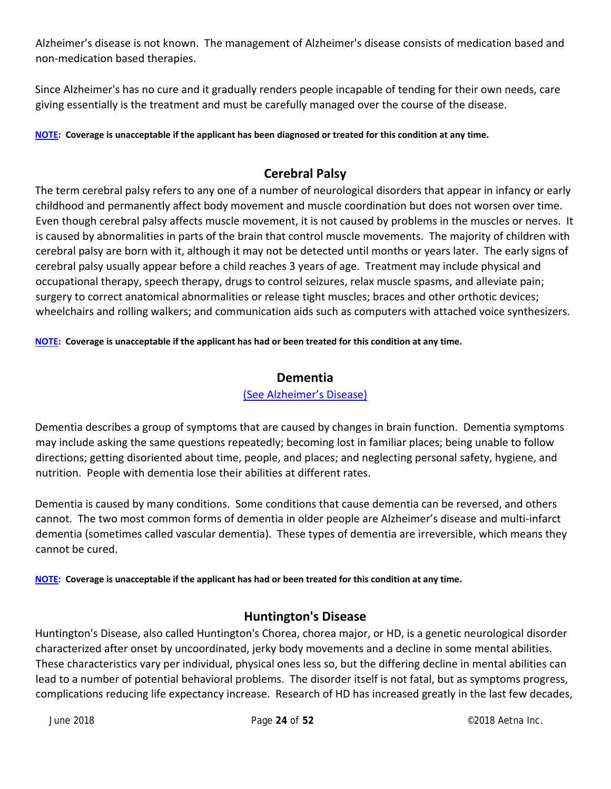Alzheimer's disease is not known. The management of Alzheimer's disease consists of medication based and non‐medication based therapies.

Since Alzheimer's has no cure and it gradually renders people incapable of tending for their own needs, care giving essentially is the treatment and must be carefully managed over the course of the disease.

NOTE: Coverage is unacceptable if the applicant has been diagnosed or treated for this condition at any time.

#### **Cerebral Palsy**

The term cerebral palsy refers to any one of a number of neurological disorders that appear in infancy or early childhood and permanently affect body movement and muscle coordination but does not worsen over time. Even though cerebral palsy affects muscle movement, it is not caused by problems in the muscles or nerves. It is caused by abnormalities in parts of the brain that control muscle movements. The majority of children with cerebral palsy are born with it, although it may not be detected until months or years later. The early signs of cerebral palsy usually appear before a child reaches 3 years of age. Treatment may include physical and occupational therapy, speech therapy, drugs to control seizures, relax muscle spasms, and alleviate pain; surgery to correct anatomical abnormalities or release tight muscles; braces and other orthotic devices; wheelchairs and rolling walkers; and communication aids such as computers with attached voice synthesizers.

NOTE: Coverage is unacceptable if the applicant has had or been treated for this condition at any time.

#### **Dementia**

#### (See Alzheimer's Disease)

Dementia describes a group of symptoms that are caused by changes in brain function. Dementia symptoms may include asking the same questions repeatedly; becoming lost in familiar places; being unable to follow directions; getting disoriented about time, people, and places; and neglecting personal safety, hygiene, and nutrition. People with dementia lose their abilities at different rates.

Dementia is caused by many conditions. Some conditions that cause dementia can be reversed, and others cannot. The two most common forms of dementia in older people are Alzheimer's disease and multi‐infarct dementia (sometimes called vascular dementia). These types of dementia are irreversible, which means they cannot be cured.

NOTE: Coverage is unacceptable if the applicant has had or been treated for this condition at any time.

#### **Huntington's Disease**

Huntington's Disease, also called Huntington's Chorea, chorea major, or HD, is a genetic neurological disorder characterized after onset by uncoordinated, jerky body movements and a decline in some mental abilities. These characteristics vary per individual, physical ones less so, but the differing decline in mental abilities can lead to a number of potential behavioral problems. The disorder itself is not fatal, but as symptoms progress, complications reducing life expectancy increase. Research of HD has increased greatly in the last few decades,

June 2018 Page **24** of **52**  ©2018 Aetna Inc.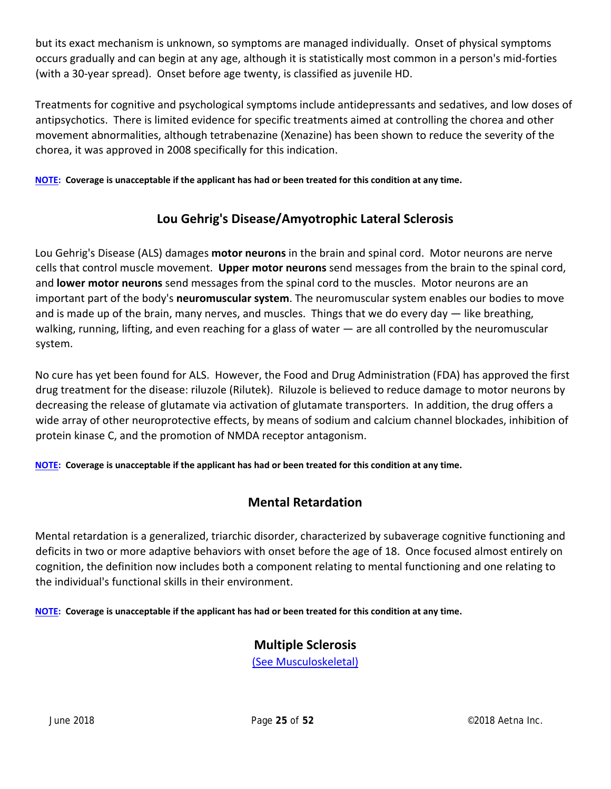but its exact mechanism is unknown, so symptoms are managed individually. Onset of physical symptoms occurs gradually and can begin at any age, although it is statistically most common in a person's mid‐forties (with a 30‐year spread). Onset before age twenty, is classified as juvenile HD.

Treatments for cognitive and psychological symptoms include antidepressants and sedatives, and low doses of antipsychotics. There is limited evidence for specific treatments aimed at controlling the chorea and other movement abnormalities, although tetrabenazine (Xenazine) has been shown to reduce the severity of the chorea, it was approved in 2008 specifically for this indication.

NOTE: Coverage is unacceptable if the applicant has had or been treated for this condition at any time.

## **Lou Gehrig's Disease/Amyotrophic Lateral Sclerosis**

Lou Gehrig's Disease (ALS) damages **motor neurons** in the brain and spinal cord. Motor neurons are nerve cells that control muscle movement. **Upper motor neurons** send messages from the brain to the spinal cord, and **lower motor neurons** send messages from the spinal cord to the muscles. Motor neurons are an important part of the body's **neuromuscular system**. The neuromuscular system enables our bodies to move and is made up of the brain, many nerves, and muscles. Things that we do every day — like breathing, walking, running, lifting, and even reaching for a glass of water — are all controlled by the neuromuscular system.

No cure has yet been found for ALS. However, the Food and Drug Administration (FDA) has approved the first drug treatment for the disease: riluzole (Rilutek). Riluzole is believed to reduce damage to motor neurons by decreasing the release of glutamate via activation of glutamate transporters. In addition, the drug offers a wide array of other neuroprotective effects, by means of sodium and calcium channel blockades, inhibition of protein kinase C, and the promotion of NMDA receptor antagonism.

NOTE: Coverage is unacceptable if the applicant has had or been treated for this condition at any time.

## **Mental Retardation**

Mental retardation is a generalized, triarchic disorder, characterized by subaverage cognitive functioning and deficits in two or more adaptive behaviors with onset before the age of 18. Once focused almost entirely on cognition, the definition now includes both a component relating to mental functioning and one relating to the individual's functional skills in their environment.

NOTE: Coverage is unacceptable if the applicant has had or been treated for this condition at any time.

## **Multiple Sclerosis**

(See Musculoskeletal)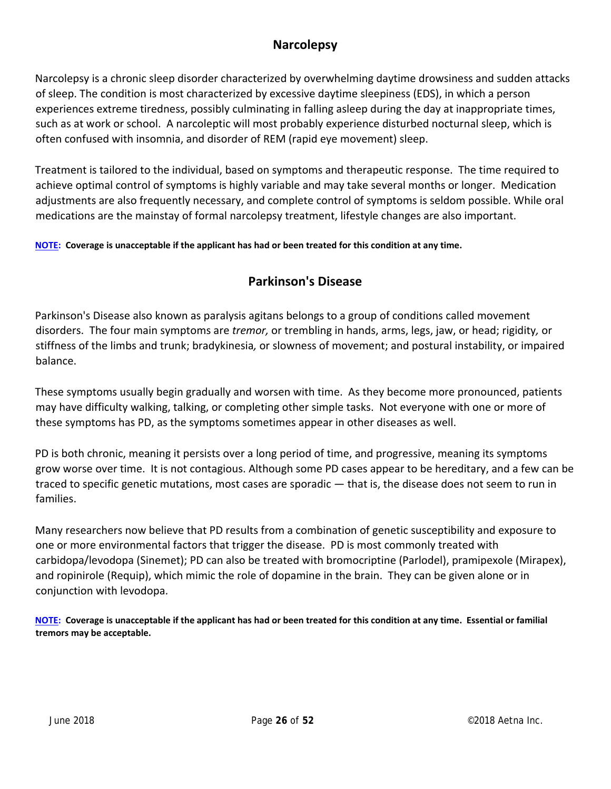## **Narcolepsy**

Narcolepsy is a chronic sleep disorder characterized by overwhelming daytime drowsiness and sudden attacks of sleep. The condition is most characterized by excessive daytime sleepiness (EDS), in which a person experiences extreme tiredness, possibly culminating in falling asleep during the day at inappropriate times, such as at work or school. A narcoleptic will most probably experience disturbed nocturnal sleep, which is often confused with insomnia, and disorder of REM (rapid eye movement) sleep.

Treatment is tailored to the individual, based on symptoms and therapeutic response. The time required to achieve optimal control of symptoms is highly variable and may take several months or longer. Medication adjustments are also frequently necessary, and complete control of symptoms is seldom possible. While oral medications are the mainstay of formal narcolepsy treatment, lifestyle changes are also important.

NOTE: Coverage is unacceptable if the applicant has had or been treated for this condition at any time.

## **Parkinson's Disease**

Parkinson's Disease also known as paralysis agitans belongs to a group of conditions called movement disorders. The four main symptoms are *tremor,* or trembling in hands, arms, legs, jaw, or head; rigidity*,* or stiffness of the limbs and trunk; bradykinesia*,* or slowness of movement; and postural instability, or impaired balance.

These symptoms usually begin gradually and worsen with time. As they become more pronounced, patients may have difficulty walking, talking, or completing other simple tasks. Not everyone with one or more of these symptoms has PD, as the symptoms sometimes appear in other diseases as well.

PD is both chronic, meaning it persists over a long period of time, and progressive, meaning its symptoms grow worse over time. It is not contagious. Although some PD cases appear to be hereditary, and a few can be traced to specific genetic mutations, most cases are sporadic — that is, the disease does not seem to run in families.

Many researchers now believe that PD results from a combination of genetic susceptibility and exposure to one or more environmental factors that trigger the disease. PD is most commonly treated with carbidopa/levodopa (Sinemet); PD can also be treated with bromocriptine (Parlodel), pramipexole (Mirapex), and ropinirole (Requip), which mimic the role of dopamine in the brain. They can be given alone or in conjunction with levodopa.

NOTE: Coverage is unacceptable if the applicant has had or been treated for this condition at any time. Essential or familial **tremors may be acceptable.**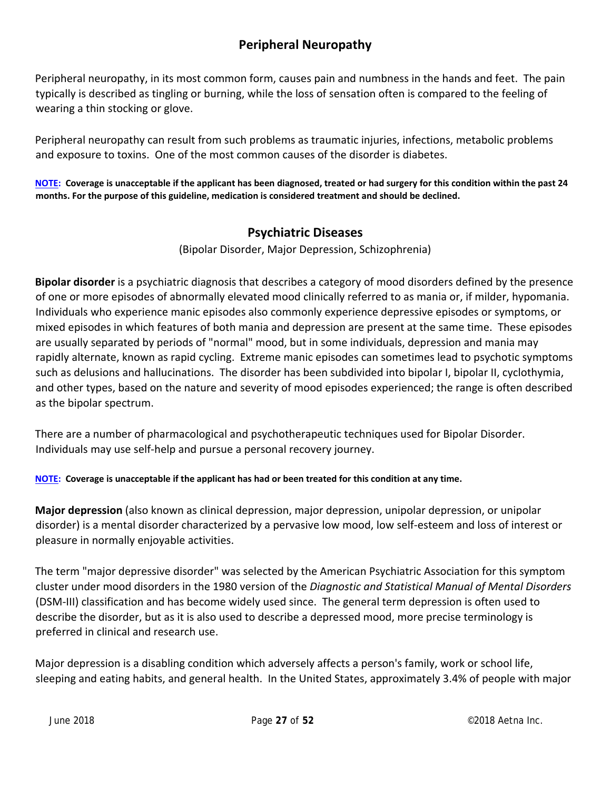## **Peripheral Neuropathy**

Peripheral neuropathy, in its most common form, causes pain and numbness in the hands and feet. The pain typically is described as tingling or burning, while the loss of sensation often is compared to the feeling of wearing a thin stocking or glove.

Peripheral neuropathy can result from such problems as traumatic injuries, infections, metabolic problems and exposure to toxins. One of the most common causes of the disorder is diabetes.

NOTE: Coverage is unacceptable if the applicant has been diagnosed, treated or had surgery for this condition within the past 24 **months. For the purpose of this guideline, medication is considered treatment and should be declined.**

## **Psychiatric Diseases**

(Bipolar Disorder, Major Depression, Schizophrenia)

**Bipolar disorder** is a psychiatric diagnosis that describes a category of mood disorders defined by the presence of one or more episodes of abnormally elevated mood clinically referred to as mania or, if milder, hypomania. Individuals who experience manic episodes also commonly experience depressive episodes or symptoms, or mixed episodes in which features of both mania and depression are present at the same time. These episodes are usually separated by periods of "normal" mood, but in some individuals, depression and mania may rapidly alternate, known as rapid cycling. Extreme manic episodes can sometimes lead to psychotic symptoms such as delusions and hallucinations. The disorder has been subdivided into bipolar I, bipolar II, cyclothymia, and other types, based on the nature and severity of mood episodes experienced; the range is often described as the bipolar spectrum.

There are a number of pharmacological and psychotherapeutic techniques used for Bipolar Disorder. Individuals may use self‐help and pursue a personal recovery journey.

NOTE: Coverage is unacceptable if the applicant has had or been treated for this condition at any time.

**Major depression** (also known as clinical depression, major depression, unipolar depression, or unipolar disorder) is a mental disorder characterized by a pervasive low mood, low self‐esteem and loss of interest or pleasure in normally enjoyable activities.

The term "major depressive disorder" was selected by the American Psychiatric Association for this symptom cluster under mood disorders in the 1980 version of the *Diagnostic and Statistical Manual of Mental Disorders* (DSM‐III) classification and has become widely used since. The general term depression is often used to describe the disorder, but as it is also used to describe a depressed mood, more precise terminology is preferred in clinical and research use.

Major depression is a disabling condition which adversely affects a person's family, work or school life, sleeping and eating habits, and general health. In the United States, approximately 3.4% of people with major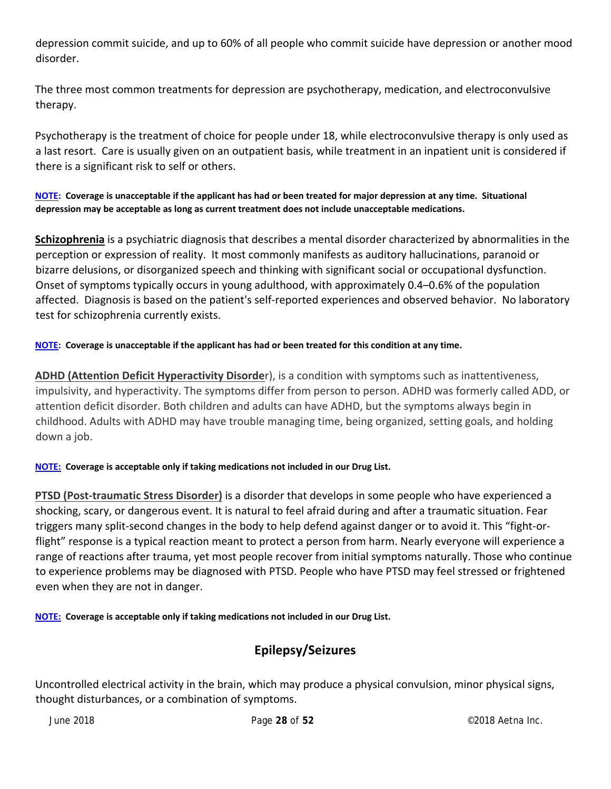depression commit suicide, and up to 60% of all people who commit suicide have depression or another mood disorder.

The three most common treatments for depression are psychotherapy, medication, and electroconvulsive therapy.

Psychotherapy is the treatment of choice for people under 18, while electroconvulsive therapy is only used as a last resort. Care is usually given on an outpatient basis, while treatment in an inpatient unit is considered if there is a significant risk to self or others.

NOTE: Coverage is unacceptable if the applicant has had or been treated for major depression at any time. Situational **depression may be acceptable as long as current treatment does not include unacceptable medications.**

**Schizophrenia** is a psychiatric diagnosis that describes a mental disorder characterized by abnormalities in the perception or expression of reality. It most commonly manifests as auditory hallucinations, paranoid or bizarre delusions, or disorganized speech and thinking with significant social or occupational dysfunction. Onset of symptoms typically occurs in young adulthood, with approximately 0.4–0.6% of the population affected. Diagnosis is based on the patient's self‐reported experiences and observed behavior. No laboratory test for schizophrenia currently exists.

#### NOTE: Coverage is unacceptable if the applicant has had or been treated for this condition at any time.

**ADHD (Attention Deficit Hyperactivity Disorde**r), is a condition with symptoms such as inattentiveness, impulsivity, and hyperactivity. The symptoms differ from person to person. ADHD was formerly called ADD, or attention deficit disorder. Both children and adults can have ADHD, but the symptoms always begin in childhood. Adults with ADHD may have trouble managing time, being organized, setting goals, and holding down a job.

#### **NOTE: Coverage is acceptable only if taking medications not included in our Drug List.**

**PTSD (Post‐traumatic Stress Disorder)** is a disorder that develops in some people who have experienced a shocking, scary, or dangerous event. It is natural to feel afraid during and after a traumatic situation. Fear triggers many split‐second changes in the body to help defend against danger or to avoid it. This "fight‐or‐ flight" response is a typical reaction meant to protect a person from harm. Nearly everyone will experience a range of reactions after trauma, yet most people recover from initial symptoms naturally. Those who continue to experience problems may be diagnosed with PTSD. People who have PTSD may feel stressed or frightened even when they are not in danger.

**NOTE: Coverage is acceptable only if taking medications not included in our Drug List.**

## **Epilepsy/Seizures**

Uncontrolled electrical activity in the brain, which may produce a physical convulsion, minor physical signs, thought disturbances, or a combination of symptoms.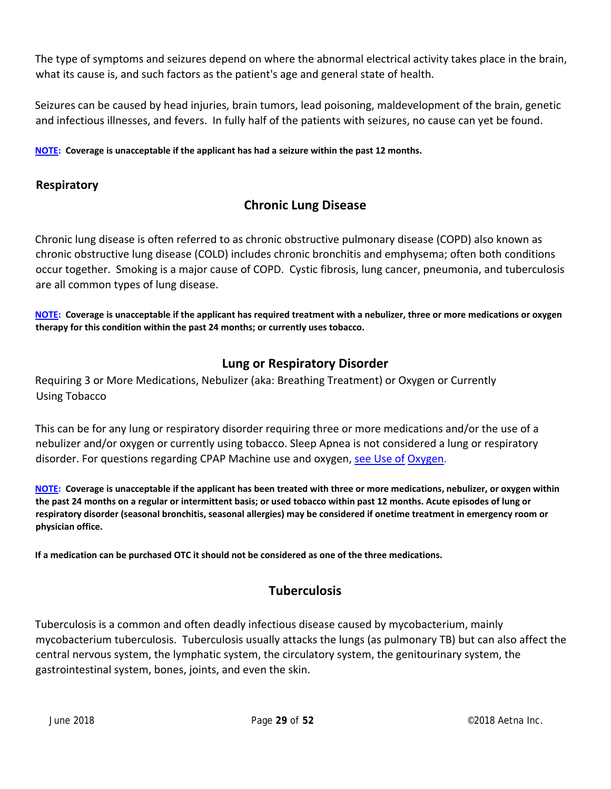The type of symptoms and seizures depend on where the abnormal electrical activity takes place in the brain, what its cause is, and such factors as the patient's age and general state of health.

Seizures can be caused by head injuries, brain tumors, lead poisoning, maldevelopment of the brain, genetic and infectious illnesses, and fevers. In fully half of the patients with seizures, no cause can yet be found.

**NOTE: Coverage is unacceptable if the applicant has had a seizure within the past 12 months.**

#### **Respiratory**

## **Chronic Lung Disease**

Chronic lung disease is often referred to as chronic obstructive pulmonary disease (COPD) also known as chronic obstructive lung disease (COLD) includes chronic bronchitis and emphysema; often both conditions occur together. Smoking is a major cause of COPD. Cystic fibrosis, lung cancer, pneumonia, and tuberculosis are all common types of lung disease.

NOTE: Coverage is unacceptable if the applicant has required treatment with a nebulizer, three or more medications or oxygen **therapy for this condition within the past 24 months; or currently uses tobacco.**

## **Lung or Respiratory Disorder**

Requiring 3 or More Medications, Nebulizer (aka: Breathing Treatment) or Oxygen or Currently Using Tobacco

This can be for any lung or respiratory disorder requiring three or more medications and/or the use of a nebulizer and/or oxygen or currently using tobacco. Sleep Apnea is not considered a lung or respiratory disorder. For questions regarding CPAP Machine use and oxygen, see Use of Oxygen.

NOTE: Coverage is unacceptable if the applicant has been treated with three or more medications, nebulizer, or oxygen within the past 24 months on a regular or intermittent basis; or used tobacco within past 12 months. Acute episodes of lung or respiratory disorder (seasonal bronchitis, seasonal allergies) may be considered if onetime treatment in emergency room or **physician office.**

**If a medication can be purchased OTC it should not be considered as one of the three medications.**

## **Tuberculosis**

Tuberculosis is a common and often deadly infectious disease caused by mycobacterium, mainly mycobacterium tuberculosis. Tuberculosis usually attacks the lungs (as pulmonary TB) but can also affect the central nervous system, the lymphatic system, the circulatory system, the genitourinary system, the gastrointestinal system, bones, joints, and even the skin.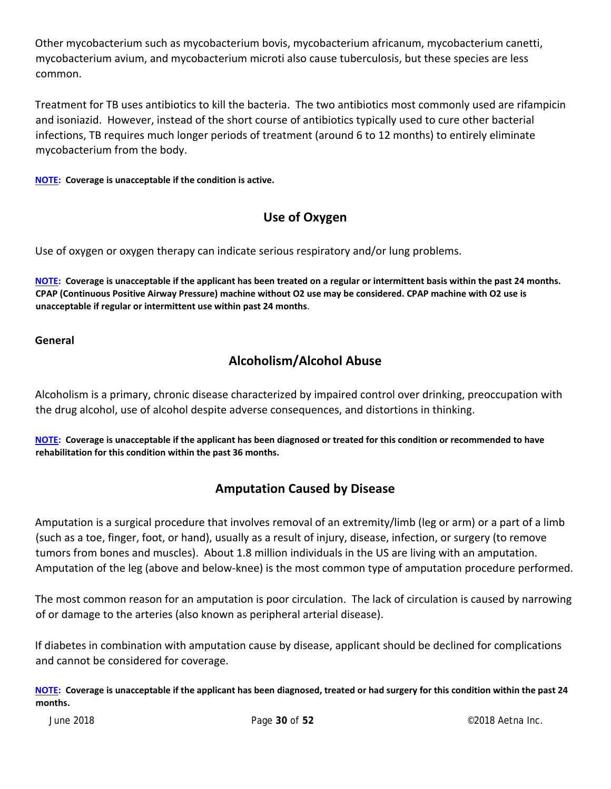Other mycobacterium such as mycobacterium bovis, mycobacterium africanum, mycobacterium canetti, mycobacterium avium, and mycobacterium microti also cause tuberculosis, but these species are less common.

Treatment for TB uses antibiotics to kill the bacteria. The two antibiotics most commonly used are rifampicin and isoniazid. However, instead of the short course of antibiotics typically used to cure other bacterial infections, TB requires much longer periods of treatment (around 6 to 12 months) to entirely eliminate mycobacterium from the body.

**NOTE: Coverage is unacceptable if the condition is active.**

## **Use of Oxygen**

Use of oxygen or oxygen therapy can indicate serious respiratory and/or lung problems.

NOTE: Coverage is unacceptable if the applicant has been treated on a regular or intermittent basis within the past 24 months. CPAP (Continuous Positive Airway Pressure) machine without O2 use may be considered. CPAP machine with O2 use is **unacceptable if regular or intermittent use within past 24 months**.

#### **General**

## **Alcoholism/Alcohol Abuse**

Alcoholism is a primary, chronic disease characterized by impaired control over drinking, preoccupation with the drug alcohol, use of alcohol despite adverse consequences, and distortions in thinking.

NOTE: Coverage is unacceptable if the applicant has been diagnosed or treated for this condition or recommended to have **rehabilitation for this condition within the past 36 months.**

## **Amputation Caused by Disease**

Amputation is a surgical procedure that involves removal of an extremity/limb (leg or arm) or a part of a limb (such as a toe, finger, foot, or hand), usually as a result of injury, disease, infection, or surgery (to remove tumors from bones and muscles). About 1.8 million individuals in the US are living with an amputation. Amputation of the leg (above and below‐knee) is the most common type of amputation procedure performed.

The most common reason for an amputation is poor circulation. The lack of circulation is caused by narrowing of or damage to the arteries (also known as peripheral arterial disease).

If diabetes in combination with amputation cause by disease, applicant should be declined for complications and cannot be considered for coverage.

NOTE: Coverage is unacceptable if the applicant has been diagnosed, treated or had surgery for this condition within the past 24 **months.**

June 2018 Page **30** of **52**  ©2018 Aetna Inc.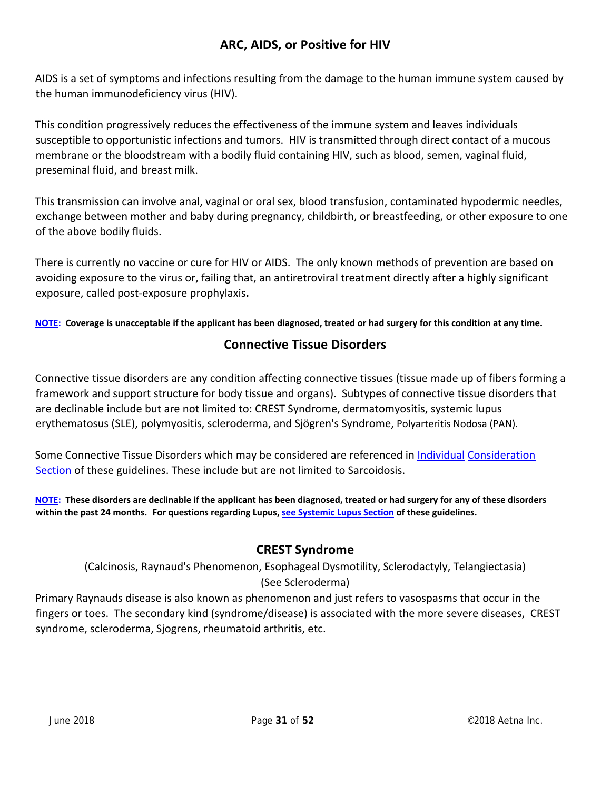## **ARC, AIDS, or Positive for HIV**

AIDS is a set of symptoms and infections resulting from the damage to the human immune system caused by the human immunodeficiency virus (HIV).

This condition progressively reduces the effectiveness of the immune system and leaves individuals susceptible to opportunistic infections and tumors. HIV is transmitted through direct contact of a mucous membrane or the bloodstream with a bodily fluid containing HIV, such as blood, semen, vaginal fluid, preseminal fluid, and breast milk.

This transmission can involve anal, vaginal or oral sex, blood transfusion, contaminated hypodermic needles, exchange between mother and baby during pregnancy, childbirth, or breastfeeding, or other exposure to one of the above bodily fluids.

There is currently no vaccine or cure for HIV or AIDS. The only known methods of prevention are based on avoiding exposure to the virus or, failing that, an antiretroviral treatment directly after a highly significant exposure, called post‐exposure prophylaxis**.**

NOTE: Coverage is unacceptable if the applicant has been diagnosed, treated or had surgery for this condition at any time.

#### **Connective Tissue Disorders**

Connective tissue disorders are any condition affecting connective tissues (tissue made up of fibers forming a framework and support structure for body tissue and organs). Subtypes of connective tissue disorders that are declinable include but are not limited to: CREST Syndrome, dermatomyositis, systemic lupus erythematosus (SLE), polymyositis, scleroderma, and Sjögren's Syndrome, Polyarteritis Nodosa (PAN).

Some Connective Tissue Disorders which may be considered are referenced in Individual Consideration Section of these guidelines. These include but are not limited to Sarcoidosis.

NOTE: These disorders are declinable if the applicant has been diagnosed, treated or had surgery for any of these disorders **within the past 24 months. For questions regarding Lupus, see Systemic Lupus Section of these guidelines.**

## **CREST Syndrome**

(Calcinosis, Raynaud's Phenomenon, Esophageal Dysmotility, Sclerodactyly, Telangiectasia) (See Scleroderma)

Primary Raynauds disease is also known as phenomenon and just refers to vasospasms that occur in the fingers or toes. The secondary kind (syndrome/disease) is associated with the more severe diseases, CREST syndrome, scleroderma, Sjogrens, rheumatoid arthritis, etc.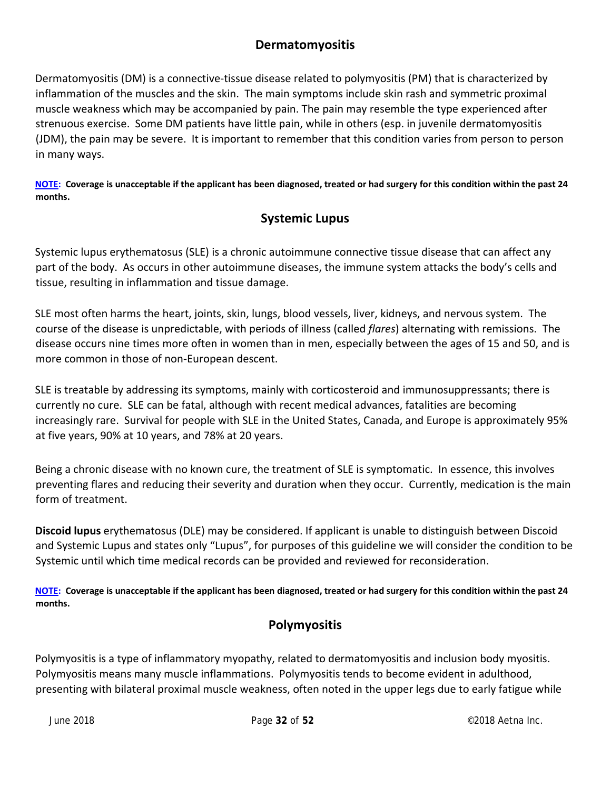## **Dermatomyositis**

Dermatomyositis (DM) is a connective-tissue disease related to polymyositis (PM) that is characterized by inflammation of the muscles and the skin. The main symptoms include skin rash and symmetric proximal muscle weakness which may be accompanied by pain. The pain may resemble the type experienced after strenuous exercise. Some DM patients have little pain, while in others (esp. in juvenile dermatomyositis (JDM), the pain may be severe. It is important to remember that this condition varies from person to person in many ways.

NOTE: Coverage is unacceptable if the applicant has been diagnosed, treated or had surgery for this condition within the past 24 **months.**

## **Systemic Lupus**

Systemic lupus erythematosus (SLE) is a chronic autoimmune connective tissue disease that can affect any part of the body. As occurs in other autoimmune diseases, the immune system attacks the body's cells and tissue, resulting in inflammation and tissue damage.

SLE most often harms the heart, joints, skin, lungs, blood vessels, liver, kidneys, and nervous system. The course of the disease is unpredictable, with periods of illness (called *flares*) alternating with remissions. The disease occurs nine times more often in women than in men, especially between the ages of 15 and 50, and is more common in those of non‐European descent.

SLE is treatable by addressing its symptoms, mainly with corticosteroid and immunosuppressants; there is currently no cure. SLE can be fatal, although with recent medical advances, fatalities are becoming increasingly rare. Survival for people with SLE in the United States, Canada, and Europe is approximately 95% at five years, 90% at 10 years, and 78% at 20 years.

Being a chronic disease with no known cure, the treatment of SLE is symptomatic. In essence, this involves preventing flares and reducing their severity and duration when they occur. Currently, medication is the main form of treatment.

**Discoid lupus** erythematosus (DLE) may be considered. If applicant is unable to distinguish between Discoid and Systemic Lupus and states only "Lupus", for purposes of this guideline we will consider the condition to be Systemic until which time medical records can be provided and reviewed for reconsideration.

NOTE: Coverage is unacceptable if the applicant has been diagnosed, treated or had surgery for this condition within the past 24 **months.**

## **Polymyositis**

Polymyositis is a type of inflammatory myopathy, related to dermatomyositis and inclusion body myositis. Polymyositis means many muscle inflammations. Polymyositis tends to become evident in adulthood, presenting with bilateral proximal muscle weakness, often noted in the upper legs due to early fatigue while

June 2018 Page **32** of **52**  ©2018 Aetna Inc.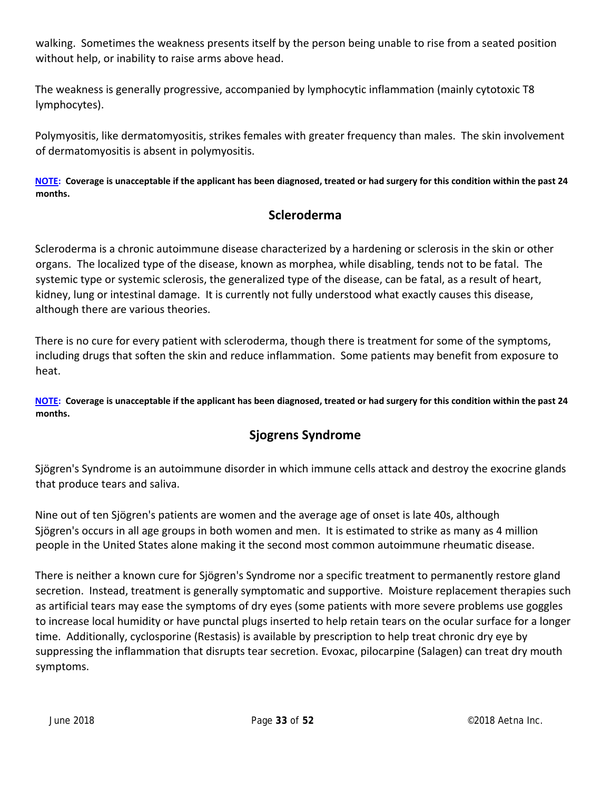walking. Sometimes the weakness presents itself by the person being unable to rise from a seated position without help, or inability to raise arms above head.

The weakness is generally progressive, accompanied by lymphocytic inflammation (mainly cytotoxic T8 lymphocytes).

Polymyositis, like dermatomyositis, strikes females with greater frequency than males. The skin involvement of dermatomyositis is absent in polymyositis.

NOTE: Coverage is unacceptable if the applicant has been diagnosed, treated or had surgery for this condition within the past 24 **months.**

## **Scleroderma**

Scleroderma is a chronic autoimmune disease characterized by a hardening or sclerosis in the skin or other organs. The localized type of the disease, known as morphea, while disabling, tends not to be fatal. The systemic type or systemic sclerosis, the generalized type of the disease, can be fatal, as a result of heart, kidney, lung or intestinal damage. It is currently not fully understood what exactly causes this disease, although there are various theories.

There is no cure for every patient with scleroderma, though there is treatment for some of the symptoms, including drugs that soften the skin and reduce inflammation. Some patients may benefit from exposure to heat.

NOTE: Coverage is unacceptable if the applicant has been diagnosed, treated or had surgery for this condition within the past 24 **months.**

## **Sjogrens Syndrome**

Sjögren's Syndrome is an autoimmune disorder in which immune cells attack and destroy the exocrine glands that produce tears and saliva.

Nine out of ten Sjögren's patients are women and the average age of onset is late 40s, although Sjögren's occurs in all age groups in both women and men. It is estimated to strike as many as 4 million people in the United States alone making it the second most common autoimmune rheumatic disease.

There is neither a known cure for Sjögren's Syndrome nor a specific treatment to permanently restore gland secretion. Instead, treatment is generally symptomatic and supportive. Moisture replacement therapies such as artificial tears may ease the symptoms of dry eyes (some patients with more severe problems use goggles to increase local humidity or have punctal plugs inserted to help retain tears on the ocular surface for a longer time. Additionally, cyclosporine (Restasis) is available by prescription to help treat chronic dry eye by suppressing the inflammation that disrupts tear secretion. Evoxac, pilocarpine (Salagen) can treat dry mouth symptoms.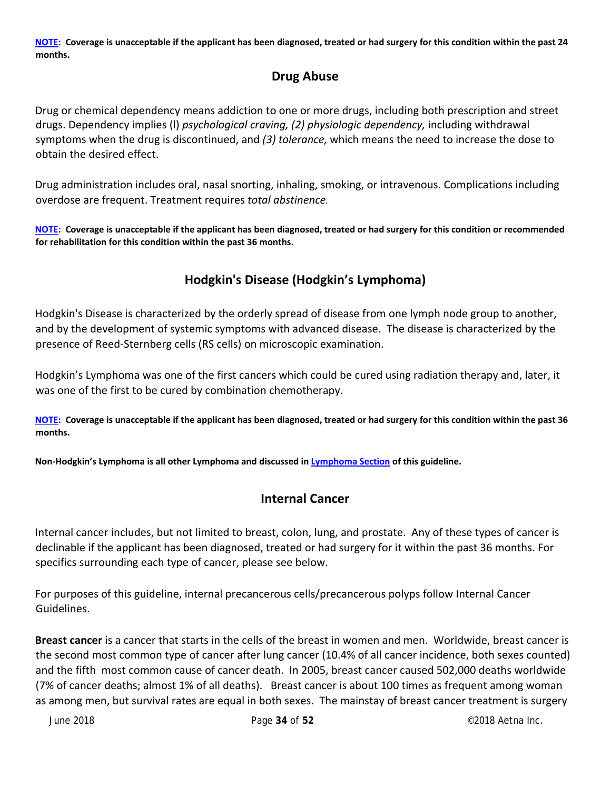NOTE: Coverage is unacceptable if the applicant has been diagnosed, treated or had surgery for this condition within the past 24 **months.**

## **Drug Abuse**

Drug or chemical dependency means addiction to one or more drugs, including both prescription and street drugs. Dependency implies (l) *psychological craving, (2) physiologic dependency,* including withdrawal symptoms when the drug is discontinued, and *(3) tolerance,* which means the need to increase the dose to obtain the desired effect.

Drug administration includes oral, nasal snorting, inhaling, smoking, or intravenous. Complications including overdose are frequent. Treatment requires *total abstinence.*

NOTE: Coverage is unacceptable if the applicant has been diagnosed, treated or had surgery for this condition or recommended **for rehabilitation for this condition within the past 36 months.**

## **Hodgkin's Disease (Hodgkin's Lymphoma)**

Hodgkin's Disease is characterized by the orderly spread of disease from one lymph node group to another, and by the development of systemic symptoms with advanced disease. The disease is characterized by the presence of Reed‐Sternberg cells (RS cells) on microscopic examination.

Hodgkin's Lymphoma was one of the first cancers which could be cured using radiation therapy and, later, it was one of the first to be cured by combination chemotherapy.

NOTE: Coverage is unacceptable if the applicant has been diagnosed, treated or had surgery for this condition within the past 36 **months.**

**Non‐Hodgkin's Lymphoma is all other Lymphoma and discussed in Lymphoma Section of this guideline.**

#### **Internal Cancer**

Internal cancer includes, but not limited to breast, colon, lung, and prostate. Any of these types of cancer is declinable if the applicant has been diagnosed, treated or had surgery for it within the past 36 months. For specifics surrounding each type of cancer, please see below.

For purposes of this guideline, internal precancerous cells/precancerous polyps follow Internal Cancer Guidelines.

**Breast cancer** is a cancer that starts in the cells of the breast in women and men. Worldwide, breast cancer is the second most common type of cancer after lung cancer (10.4% of all cancer incidence, both sexes counted) and the fifth most common cause of cancer death. In 2005, breast cancer caused 502,000 deaths worldwide (7% of cancer deaths; almost 1% of all deaths). Breast cancer is about 100 times as frequent among woman as among men, but survival rates are equal in both sexes. The mainstay of breast cancer treatment is surgery

June 2018 Page **34** of **52**  ©2018 Aetna Inc.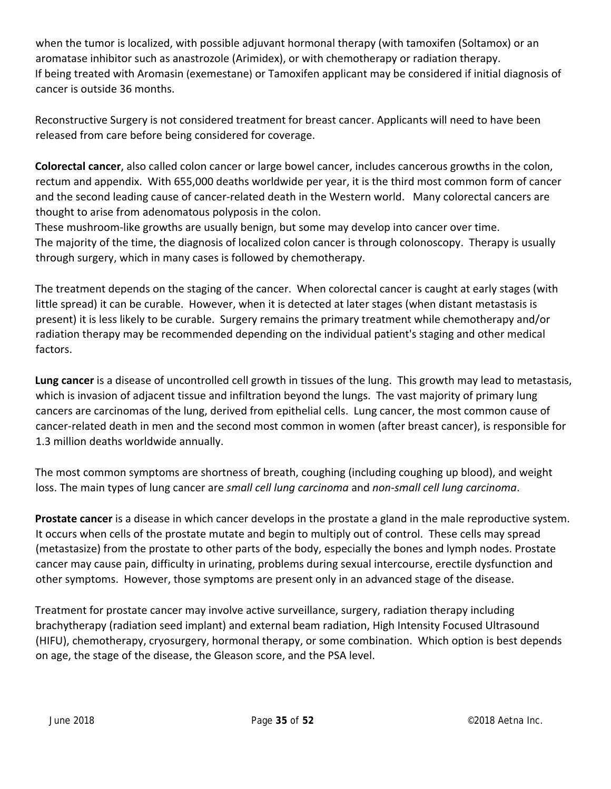when the tumor is localized, with possible adjuvant hormonal therapy (with tamoxifen (Soltamox) or an aromatase inhibitor such as anastrozole (Arimidex), or with chemotherapy or radiation therapy. If being treated with Aromasin (exemestane) or Tamoxifen applicant may be considered if initial diagnosis of cancer is outside 36 months.

Reconstructive Surgery is not considered treatment for breast cancer. Applicants will need to have been released from care before being considered for coverage.

**Colorectal cancer**, also called colon cancer or large bowel cancer, includes cancerous growths in the colon, rectum and appendix. With 655,000 deaths worldwide per year, it is the third most common form of cancer and the second leading cause of cancer-related death in the Western world. Many colorectal cancers are thought to arise from adenomatous polyposis in the colon.

These mushroom‐like growths are usually benign, but some may develop into cancer over time. The majority of the time, the diagnosis of localized colon cancer is through colonoscopy. Therapy is usually through surgery, which in many cases is followed by chemotherapy.

The treatment depends on the staging of the cancer. When colorectal cancer is caught at early stages (with little spread) it can be curable. However, when it is detected at later stages (when distant metastasis is present) it is less likely to be curable. Surgery remains the primary treatment while chemotherapy and/or radiation therapy may be recommended depending on the individual patient's staging and other medical factors.

**Lung cancer** is a disease of uncontrolled cell growth in tissues of the lung. This growth may lead to metastasis, which is invasion of adjacent tissue and infiltration beyond the lungs. The vast majority of primary lung cancers are carcinomas of the lung, derived from epithelial cells. Lung cancer, the most common cause of cancer‐related death in men and the second most common in women (after breast cancer), is responsible for 1.3 million deaths worldwide annually.

The most common symptoms are shortness of breath, coughing (including coughing up blood), and weight loss. The main types of lung cancer are *small cell lung carcinoma* and *non‐small cell lung carcinoma*.

**Prostate cancer** is a disease in which cancer develops in the prostate a gland in the male reproductive system. It occurs when cells of the prostate mutate and begin to multiply out of control. These cells may spread (metastasize) from the prostate to other parts of the body, especially the bones and lymph nodes. Prostate cancer may cause pain, difficulty in urinating, problems during sexual intercourse, erectile dysfunction and other symptoms. However, those symptoms are present only in an advanced stage of the disease.

Treatment for prostate cancer may involve active surveillance, surgery, radiation therapy including brachytherapy (radiation seed implant) and external beam radiation, High Intensity Focused Ultrasound (HIFU), chemotherapy, cryosurgery, hormonal therapy, or some combination. Which option is best depends on age, the stage of the disease, the Gleason score, and the PSA level.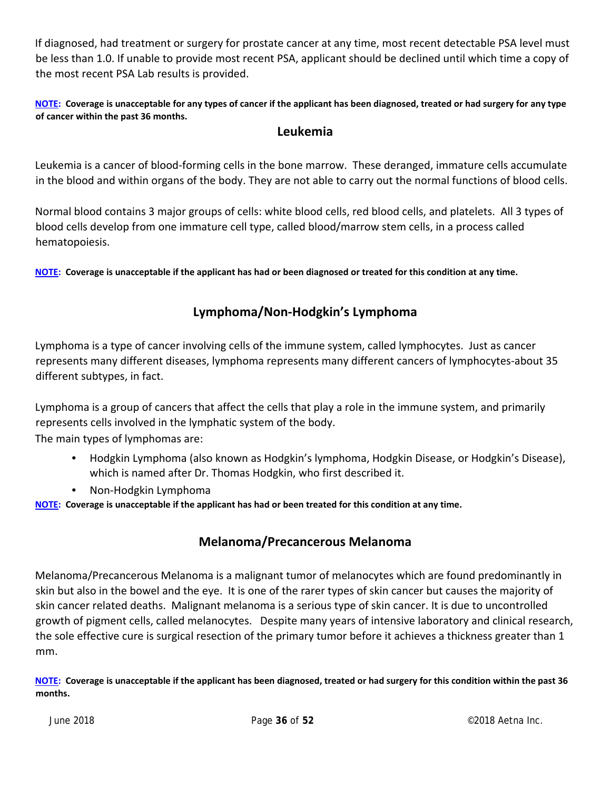If diagnosed, had treatment or surgery for prostate cancer at any time, most recent detectable PSA level must be less than 1.0. If unable to provide most recent PSA, applicant should be declined until which time a copy of the most recent PSA Lab results is provided.

NOTE: Coverage is unacceptable for any types of cancer if the applicant has been diagnosed, treated or had surgery for any type **of cancer within the past 36 months.**

#### **Leukemia**

Leukemia is a cancer of blood‐forming cells in the bone marrow. These deranged, immature cells accumulate in the blood and within organs of the body. They are not able to carry out the normal functions of blood cells.

Normal blood contains 3 major groups of cells: white blood cells, red blood cells, and platelets. All 3 types of blood cells develop from one immature cell type, called blood/marrow stem cells, in a process called hematopoiesis.

NOTE: Coverage is unacceptable if the applicant has had or been diagnosed or treated for this condition at any time.

#### **Lymphoma/Non‐Hodgkin's Lymphoma**

Lymphoma is a type of cancer involving cells of the immune system, called lymphocytes. Just as cancer represents many different diseases, lymphoma represents many different cancers of lymphocytes‐about 35 different subtypes, in fact.

Lymphoma is a group of cancers that affect the cells that play a role in the immune system, and primarily represents cells involved in the lymphatic system of the body.

The main types of lymphomas are:

- Hodgkin Lymphoma (also known as Hodgkin's lymphoma, Hodgkin Disease, or Hodgkin's Disease), which is named after Dr. Thomas Hodgkin, who first described it.
- Non-Hodgkin Lymphoma

NOTE: Coverage is unacceptable if the applicant has had or been treated for this condition at any time.

#### **Melanoma/Precancerous Melanoma**

Melanoma/Precancerous Melanoma is a malignant tumor of melanocytes which are found predominantly in skin but also in the bowel and the eye. It is one of the rarer types of skin cancer but causes the majority of skin cancer related deaths. Malignant melanoma is a serious type of skin cancer. It is due to uncontrolled growth of pigment cells, called melanocytes. Despite many years of intensive laboratory and clinical research, the sole effective cure is surgical resection of the primary tumor before it achieves a thickness greater than 1 mm.

NOTE: Coverage is unacceptable if the applicant has been diagnosed, treated or had surgery for this condition within the past 36 **months.**

June 2018 Page **36** of **52**  ©2018 Aetna Inc.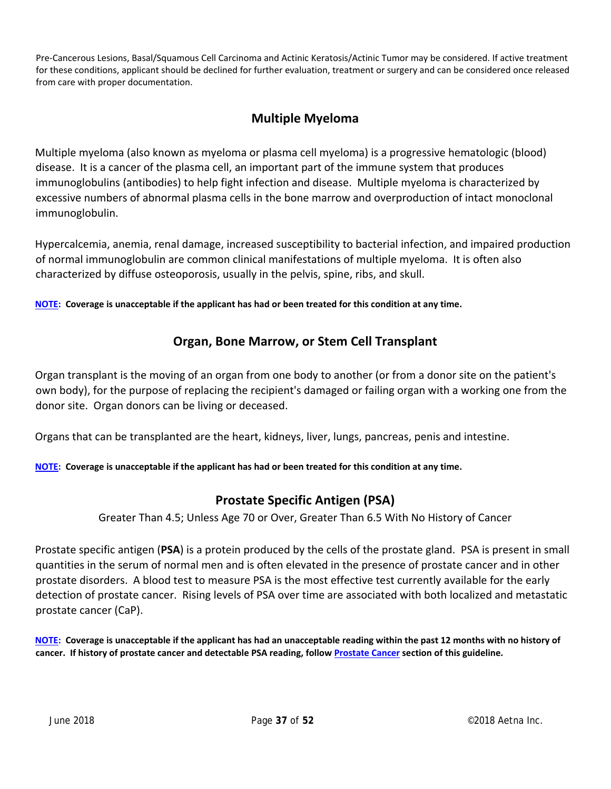Pre‐Cancerous Lesions, Basal/Squamous Cell Carcinoma and Actinic Keratosis/Actinic Tumor may be considered. If active treatment for these conditions, applicant should be declined for further evaluation, treatment or surgery and can be considered once released from care with proper documentation.

## **Multiple Myeloma**

Multiple myeloma (also known as myeloma or plasma cell myeloma) is a progressive hematologic (blood) disease. It is a cancer of the plasma cell, an important part of the immune system that produces immunoglobulins (antibodies) to help fight infection and disease. Multiple myeloma is characterized by excessive numbers of abnormal plasma cells in the bone marrow and overproduction of intact monoclonal immunoglobulin.

Hypercalcemia, anemia, renal damage, increased susceptibility to bacterial infection, and impaired production of normal immunoglobulin are common clinical manifestations of multiple myeloma. It is often also characterized by diffuse osteoporosis, usually in the pelvis, spine, ribs, and skull.

**NOTE:** Coverage is unacceptable if the applicant has had or been treated for this condition at any time.

## **Organ, Bone Marrow, or Stem Cell Transplant**

Organ transplant is the moving of an organ from one body to another (or from a donor site on the patient's own body), for the purpose of replacing the recipient's damaged or failing organ with a working one from the donor site. Organ donors can be living or deceased.

Organs that can be transplanted are the heart, kidneys, liver, lungs, pancreas, penis and intestine.

NOTE: Coverage is unacceptable if the applicant has had or been treated for this condition at any time.

## **Prostate Specific Antigen (PSA)**

Greater Than 4.5; Unless Age 70 or Over, Greater Than 6.5 With No History of Cancer

Prostate specific antigen (**PSA**) is a protein produced by the cells of the prostate gland. PSA is present in small quantities in the serum of normal men and is often elevated in the presence of prostate cancer and in other prostate disorders. A blood test to measure PSA is the most effective test currently available for the early detection of prostate cancer. Rising levels of PSA over time are associated with both localized and metastatic prostate cancer (CaP).

NOTE: Coverage is unacceptable if the applicant has had an unacceptable reading within the past 12 months with no history of cancer. If history of prostate cancer and detectable PSA reading, follow Prostate Cancer section of this guideline.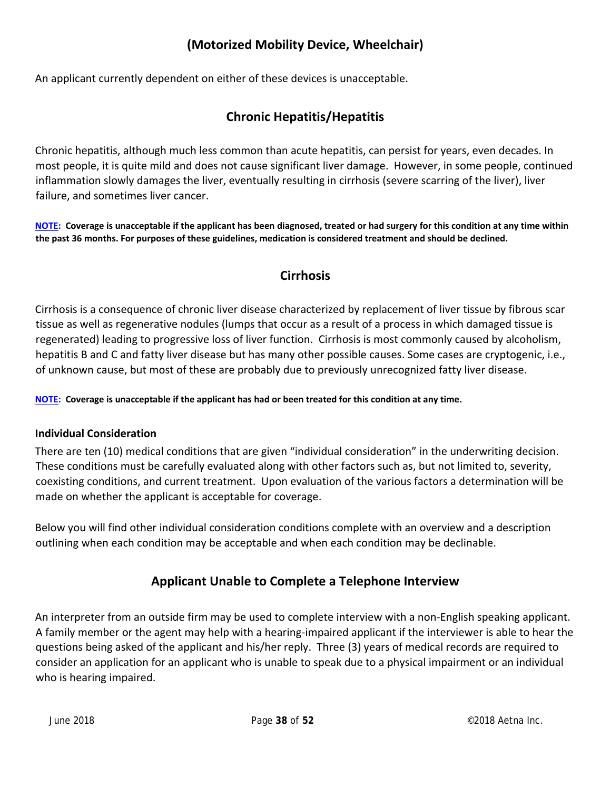## **(Motorized Mobility Device, Wheelchair)**

An applicant currently dependent on either of these devices is unacceptable.

## **Chronic Hepatitis/Hepatitis**

Chronic hepatitis, although much less common than acute hepatitis, can persist for years, even decades. In most people, it is quite mild and does not cause significant liver damage. However, in some people, continued inflammation slowly damages the liver, eventually resulting in cirrhosis (severe scarring of the liver), liver failure, and sometimes liver cancer.

NOTE: Coverage is unacceptable if the applicant has been diagnosed, treated or had surgery for this condition at any time within the past 36 months. For purposes of these guidelines, medication is considered treatment and should be declined.

## **Cirrhosis**

Cirrhosis is a consequence of chronic liver disease characterized by replacement of liver tissue by fibrous scar tissue as well as regenerative nodules (lumps that occur as a result of a process in which damaged tissue is regenerated) leading to progressive loss of liver function. Cirrhosis is most commonly caused by alcoholism, hepatitis B and C and fatty liver disease but has many other possible causes. Some cases are cryptogenic, i.e., of unknown cause, but most of these are probably due to previously unrecognized fatty liver disease.

NOTE: Coverage is unacceptable if the applicant has had or been treated for this condition at any time.

#### **Individual Consideration**

There are ten (10) medical conditions that are given "individual consideration" in the underwriting decision. These conditions must be carefully evaluated along with other factors such as, but not limited to, severity, coexisting conditions, and current treatment. Upon evaluation of the various factors a determination will be made on whether the applicant is acceptable for coverage.

Below you will find other individual consideration conditions complete with an overview and a description outlining when each condition may be acceptable and when each condition may be declinable.

## **Applicant Unable to Complete a Telephone Interview**

An interpreter from an outside firm may be used to complete interview with a non‐English speaking applicant. A family member or the agent may help with a hearing‐impaired applicant if the interviewer is able to hear the questions being asked of the applicant and his/her reply. Three (3) years of medical records are required to consider an application for an applicant who is unable to speak due to a physical impairment or an individual who is hearing impaired.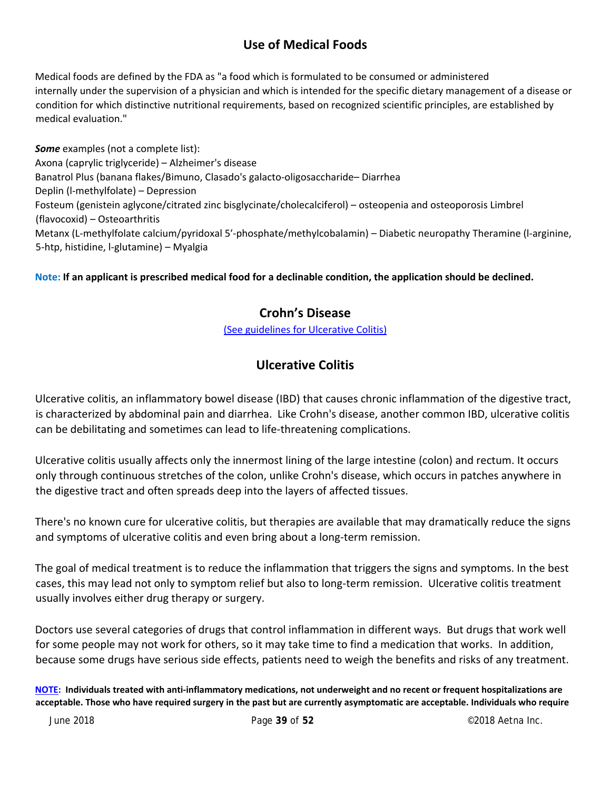## **Use of Medical Foods**

Medical foods are defined by the FDA as "a food which is formulated to be consumed or administered internally under the supervision of a physician and which is intended for the specific dietary management of a disease or condition for which distinctive nutritional requirements, based on recognized scientific principles, are established by medical evaluation."

*Some* examples (not a complete list): Axona (caprylic triglyceride) – Alzheimer's disease Banatrol Plus (banana flakes/Bimuno, Clasado's galacto‐oligosaccharide– Diarrhea Deplin (l‐methylfolate) – Depression Fosteum (genistein aglycone/citrated zinc bisglycinate/cholecalciferol) – osteopenia and osteoporosis Limbrel (flavocoxid) – Osteoarthritis Metanx (L‐methylfolate calcium/pyridoxal 5′‐phosphate/methylcobalamin) – Diabetic neuropathy Theramine (l‐arginine, 5‐htp, histidine, l‐glutamine) – Myalgia

#### Note: If an applicant is prescribed medical food for a declinable condition, the application should be declined.

#### **Crohn's Disease**

(See guidelines for Ulcerative Colitis)

## **Ulcerative Colitis**

Ulcerative colitis, an inflammatory bowel disease (IBD) that causes chronic inflammation of the digestive tract, is characterized by abdominal pain and diarrhea. Like Crohn's disease, another common IBD, ulcerative colitis can be debilitating and sometimes can lead to life‐threatening complications.

Ulcerative colitis usually affects only the innermost lining of the large intestine (colon) and rectum. It occurs only through continuous stretches of the colon, unlike Crohn's disease, which occurs in patches anywhere in the digestive tract and often spreads deep into the layers of affected tissues.

There's no known cure for ulcerative colitis, but therapies are available that may dramatically reduce the signs and symptoms of ulcerative colitis and even bring about a long-term remission.

The goal of medical treatment is to reduce the inflammation that triggers the signs and symptoms. In the best cases, this may lead not only to symptom relief but also to long‐term remission. Ulcerative colitis treatment usually involves either drug therapy or surgery.

Doctors use several categories of drugs that control inflammation in different ways. But drugs that work well for some people may not work for others, so it may take time to find a medication that works. In addition, because some drugs have serious side effects, patients need to weigh the benefits and risks of any treatment.

NOTE: Individuals treated with anti-inflammatory medications, not underweight and no recent or frequent hospitalizations are acceptable. Those who have required surgery in the past but are currently asymptomatic are acceptable. Individuals who require

June 2018 Page **39** of **52**  ©2018 Aetna Inc.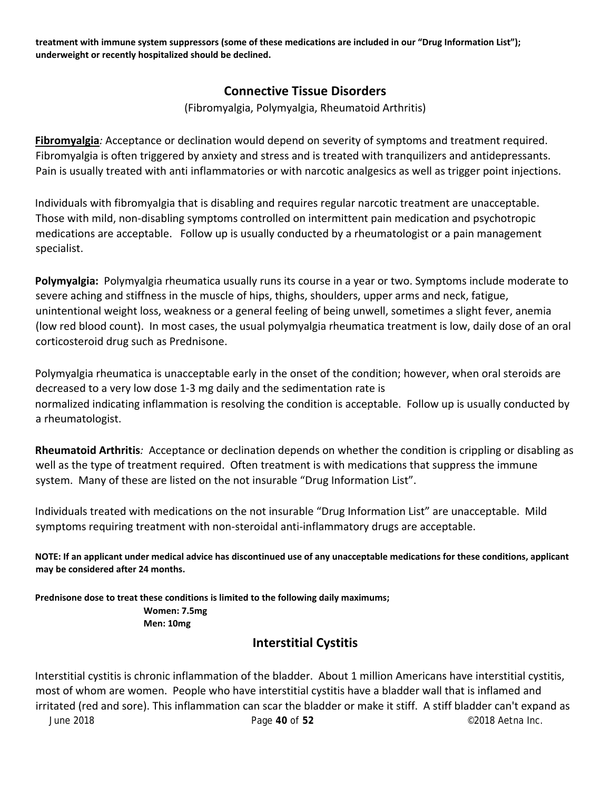treatment with immune system suppressors (some of these medications are included in our "Drug Information List"); **underweight or recently hospitalized should be declined.**

#### **Connective Tissue Disorders**

(Fibromyalgia, Polymyalgia, Rheumatoid Arthritis)

**Fibromyalgia***:* Acceptance or declination would depend on severity of symptoms and treatment required. Fibromyalgia is often triggered by anxiety and stress and is treated with tranquilizers and antidepressants. Pain is usually treated with anti inflammatories or with narcotic analgesics as well as trigger point injections.

Individuals with fibromyalgia that is disabling and requires regular narcotic treatment are unacceptable. Those with mild, non‐disabling symptoms controlled on intermittent pain medication and psychotropic medications are acceptable. Follow up is usually conducted by a rheumatologist or a pain management specialist.

**Polymyalgia:**Polymyalgia rheumatica usually runs its course in a year or two. Symptoms include moderate to severe aching and stiffness in the muscle of hips, thighs, shoulders, upper arms and neck, fatigue, unintentional weight loss, weakness or a general feeling of being unwell, sometimes a slight fever, anemia (low red blood count). In most cases, the usual polymyalgia rheumatica treatment is low, daily dose of an oral corticosteroid drug such as Prednisone.

Polymyalgia rheumatica is unacceptable early in the onset of the condition; however, when oral steroids are decreased to a very low dose 1‐3 mg daily and the sedimentation rate is normalized indicating inflammation is resolving the condition is acceptable. Follow up is usually conducted by a rheumatologist.

**Rheumatoid Arthritis***:* Acceptance or declination depends on whether the condition is crippling or disabling as well as the type of treatment required. Often treatment is with medications that suppress the immune system. Many of these are listed on the not insurable "Drug Information List".

Individuals treated with medications on the not insurable "Drug Information List" are unacceptable. Mild symptoms requiring treatment with non-steroidal anti-inflammatory drugs are acceptable.

NOTE: If an applicant under medical advice has discontinued use of any unacceptable medications for these conditions, applicant **may be considered after 24 months.**

**Prednisone dose to treat these conditions is limited to the following daily maximums; Women: 7.5mg Men: 10mg**

## **Interstitial Cystitis**

June 2018 Page **40** of **52**  ©2018 Aetna Inc. Interstitial cystitis is chronic inflammation of the bladder. About 1 million Americans have interstitial cystitis, most of whom are women. People who have interstitial cystitis have a bladder wall that is inflamed and irritated (red and sore). This inflammation can scar the bladder or make it stiff. A stiff bladder can't expand as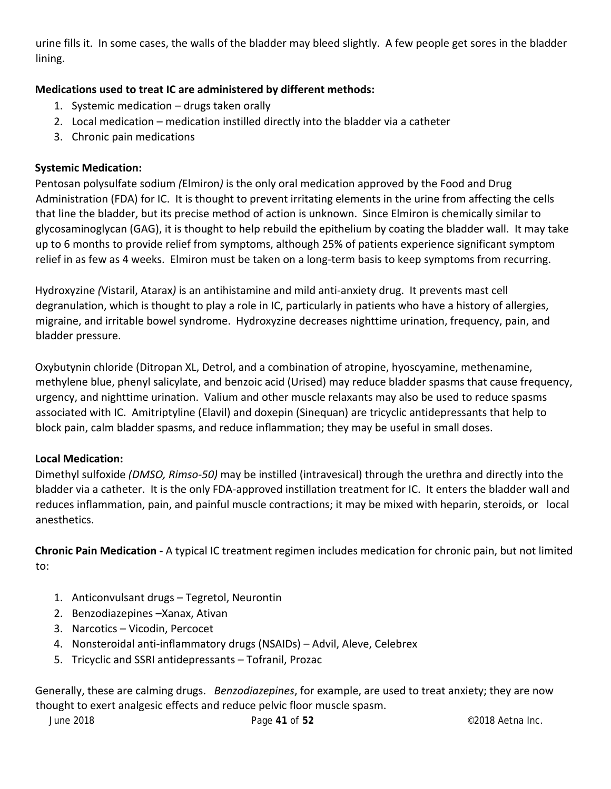urine fills it. In some cases, the walls of the bladder may bleed slightly. A few people get sores in the bladder lining.

#### **Medications used to treat IC are administered by different methods:**

- 1. Systemic medication drugs taken orally
- 2. Local medication medication instilled directly into the bladder via a catheter
- 3. Chronic pain medications

#### **Systemic Medication:**

Pentosan polysulfate sodium *(*Elmiron*)* is the only oral medication approved by the Food and Drug Administration (FDA) for IC. It is thought to prevent irritating elements in the urine from affecting the cells that line the bladder, but its precise method of action is unknown. Since Elmiron is chemically similar to glycosaminoglycan (GAG), it is thought to help rebuild the epithelium by coating the bladder wall. It may take up to 6 months to provide relief from symptoms, although 25% of patients experience significant symptom relief in as few as 4 weeks. Elmiron must be taken on a long-term basis to keep symptoms from recurring.

Hydroxyzine *(*Vistaril, Atarax*)* is an antihistamine and mild anti‐anxiety drug. It prevents mast cell degranulation, which is thought to play a role in IC, particularly in patients who have a history of allergies, migraine, and irritable bowel syndrome. Hydroxyzine decreases nighttime urination, frequency, pain, and bladder pressure.

Oxybutynin chloride (Ditropan XL, Detrol, and a combination of atropine, hyoscyamine, methenamine, methylene blue, phenyl salicylate, and benzoic acid (Urised) may reduce bladder spasms that cause frequency, urgency, and nighttime urination. Valium and other muscle relaxants may also be used to reduce spasms associated with IC. Amitriptyline (Elavil) and doxepin (Sinequan) are tricyclic antidepressants that help to block pain, calm bladder spasms, and reduce inflammation; they may be useful in small doses.

#### **Local Medication:**

Dimethyl sulfoxide *(DMSO, Rimso‐50)* may be instilled (intravesical) through the urethra and directly into the bladder via a catheter. It is the only FDA‐approved instillation treatment for IC. It enters the bladder wall and reduces inflammation, pain, and painful muscle contractions; it may be mixed with heparin, steroids, or local anesthetics.

**Chronic Pain Medication ‐** A typical IC treatment regimen includes medication for chronic pain, but not limited to:

- 1. Anticonvulsant drugs Tegretol, Neurontin
- 2. Benzodiazepines –Xanax, Ativan
- 3. Narcotics Vicodin, Percocet
- 4. Nonsteroidal anti-inflammatory drugs (NSAIDs) Advil, Aleve, Celebrex
- 5. Tricyclic and SSRI antidepressants Tofranil, Prozac

Generally, these are calming drugs. *Benzodiazepines*, for example, are used to treat anxiety; they are now thought to exert analgesic effects and reduce pelvic floor muscle spasm.

June 2018 Page **41** of **52**  ©2018 Aetna Inc.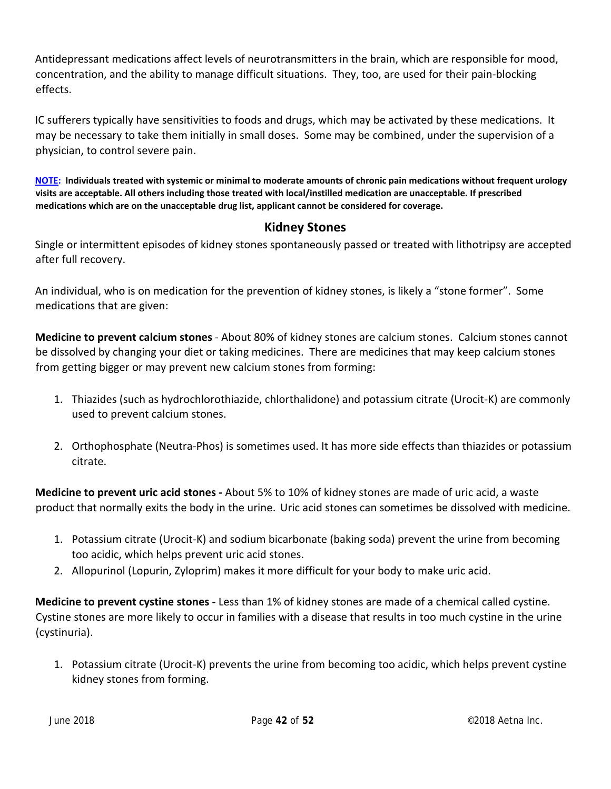Antidepressant medications affect levels of neurotransmitters in the brain, which are responsible for mood, concentration, and the ability to manage difficult situations. They, too, are used for their pain‐blocking effects.

IC sufferers typically have sensitivities to foods and drugs, which may be activated by these medications. It may be necessary to take them initially in small doses. Some may be combined, under the supervision of a physician, to control severe pain.

NOTE: Individuals treated with systemic or minimal to moderate amounts of chronic pain medications without frequent urology visits are acceptable. All others including those treated with local/instilled medication are unacceptable. If prescribed **medications which are on the unacceptable drug list, applicant cannot be considered for coverage.**

#### **Kidney Stones**

Single or intermittent episodes of kidney stones spontaneously passed or treated with lithotripsy are accepted after full recovery.

An individual, who is on medication for the prevention of kidney stones, is likely a "stone former". Some medications that are given:

**Medicine to prevent calcium stones** ‐ About 80% of kidney stones are calcium stones. Calcium stones cannot be dissolved by changing your diet or taking medicines. There are medicines that may keep calcium stones from getting bigger or may prevent new calcium stones from forming:

- 1. Thiazides (such as hydrochlorothiazide, chlorthalidone) and potassium citrate (Urocit‐K) are commonly used to prevent calcium stones.
- 2. Orthophosphate (Neutra‐Phos) is sometimes used. It has more side effects than thiazides or potassium citrate.

**Medicine to prevent uric acid stones ‐** About 5% to 10% of kidney stones are made of uric acid, a waste product that normally exits the body in the urine. Uric acid stones can sometimes be dissolved with medicine.

- 1. Potassium citrate (Urocit‐K) and sodium bicarbonate (baking soda) prevent the urine from becoming too acidic, which helps prevent uric acid stones.
- 2. Allopurinol (Lopurin, Zyloprim) makes it more difficult for your body to make uric acid.

**Medicine to prevent cystine stones ‐** Less than 1% of kidney stones are made of a chemical called cystine. Cystine stones are more likely to occur in families with a disease that results in too much cystine in the urine (cystinuria).

1. Potassium citrate (Urocit‐K) prevents the urine from becoming too acidic, which helps prevent cystine kidney stones from forming.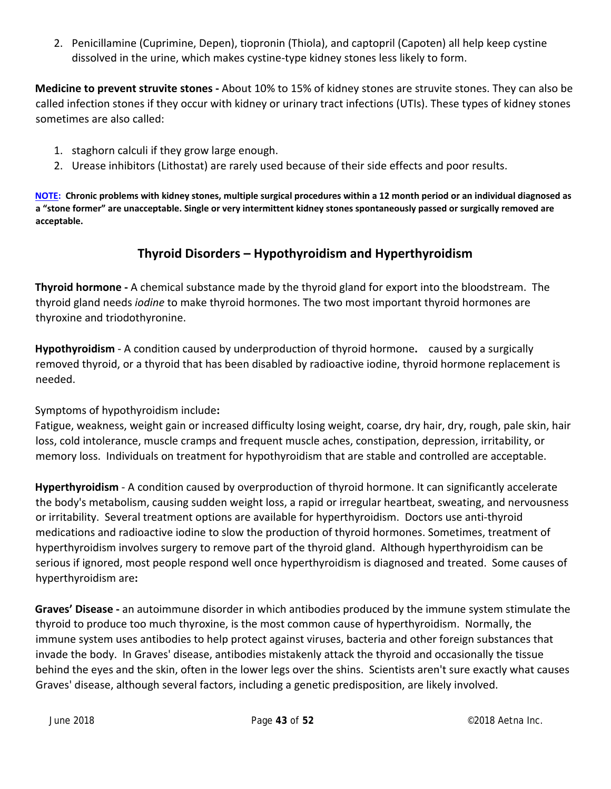2. Penicillamine (Cuprimine, Depen), tiopronin (Thiola), and captopril (Capoten) all help keep cystine dissolved in the urine, which makes cystine‐type kidney stones less likely to form.

**Medicine to prevent struvite stones ‐** About 10% to 15% of kidney stones are struvite stones. They can also be called infection stones if they occur with kidney or urinary tract infections (UTIs). These types of kidney stones sometimes are also called:

- 1. staghorn calculi if they grow large enough.
- 2. Urease inhibitors (Lithostat) are rarely used because of their side effects and poor results.

NOTE: Chronic problems with kidney stones, multiple surgical procedures within a 12 month period or an individual diagnosed as a "stone former" are unacceptable. Single or very intermittent kidney stones spontaneously passed or surgically removed are **acceptable.**

## **Thyroid Disorders – Hypothyroidism and Hyperthyroidism**

**Thyroid hormone** - A chemical substance made by the thyroid gland for export into the bloodstream. The thyroid gland needs *iodine* to make thyroid hormones. The two most important thyroid hormones are thyroxine and triodothyronine.

**Hypothyroidism** ‐ A condition caused by underproduction of thyroid hormone**.**  caused by a surgically removed thyroid, or a thyroid that has been disabled by radioactive iodine, thyroid hormone replacement is needed.

Symptoms of hypothyroidism include**:**

Fatigue, weakness, weight gain or increased difficulty losing weight, coarse, dry hair, dry, rough, pale skin, hair loss, cold intolerance, muscle cramps and frequent muscle aches, constipation, depression, irritability, or memory loss. Individuals on treatment for hypothyroidism that are stable and controlled are acceptable.

**Hyperthyroidism** ‐ A condition caused by overproduction of thyroid hormone. It can significantly accelerate the body's metabolism, causing sudden weight loss, a rapid or irregular heartbeat, sweating, and nervousness or irritability. Several treatment options are available for hyperthyroidism. Doctors use anti‐thyroid medications and radioactive iodine to slow the production of thyroid hormones. Sometimes, treatment of hyperthyroidism involves surgery to remove part of the thyroid gland. Although hyperthyroidism can be serious if ignored, most people respond well once hyperthyroidism is diagnosed and treated. Some causes of hyperthyroidism are**:**

**Graves' Disease ‐** an autoimmune disorder in which antibodies produced by the immune system stimulate the thyroid to produce too much thyroxine, is the most common cause of hyperthyroidism. Normally, the immune system uses antibodies to help protect against viruses, bacteria and other foreign substances that invade the body. In Graves' disease, antibodies mistakenly attack the thyroid and occasionally the tissue behind the eyes and the skin, often in the lower legs over the shins. Scientists aren't sure exactly what causes Graves' disease, although several factors, including a genetic predisposition, are likely involved.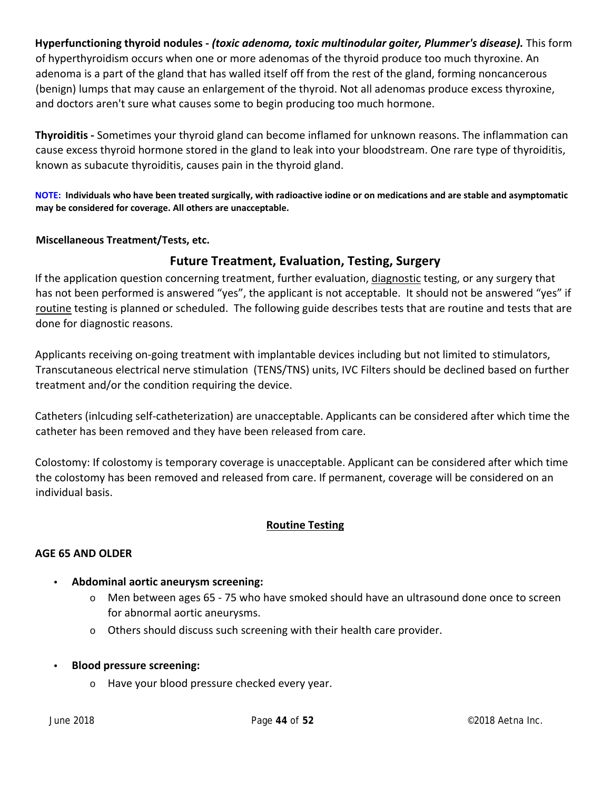**Hyperfunctioning thyroid nodules ‐** *(toxic adenoma, toxic multinodular goiter, Plummer's disease).* This form of hyperthyroidism occurs when one or more adenomas of the thyroid produce too much thyroxine. An adenoma is a part of the gland that has walled itself off from the rest of the gland, forming noncancerous (benign) lumps that may cause an enlargement of the thyroid. Not all adenomas produce excess thyroxine, and doctors aren't sure what causes some to begin producing too much hormone.

**Thyroiditis ‐** Sometimes your thyroid gland can become inflamed for unknown reasons. The inflammation can cause excess thyroid hormone stored in the gland to leak into your bloodstream. One rare type of thyroiditis, known as subacute thyroiditis, causes pain in the thyroid gland.

NOTE: Individuals who have been treated surgically, with radioactive iodine or on medications and are stable and asymptomatic **may be considered for coverage. All others are unacceptable.**

#### **Miscellaneous Treatment/Tests, etc.**

#### **Future Treatment, Evaluation, Testing, Surgery**

If the application question concerning treatment, further evaluation, diagnostic testing, or any surgery that has not been performed is answered "yes", the applicant is not acceptable. It should not be answered "yes" if routine testing is planned or scheduled. The following guide describes tests that are routine and tests that are done for diagnostic reasons.

Applicants receiving on‐going treatment with implantable devices including but not limited to stimulators, Transcutaneous electrical nerve stimulation (TENS/TNS) units, IVC Filters should be declined based on further treatment and/or the condition requiring the device.

Catheters (inlcuding self‐catheterization) are unacceptable. Applicants can be considered after which time the catheter has been removed and they have been released from care.

Colostomy: If colostomy is temporary coverage is unacceptable. Applicant can be considered after which time the colostomy has been removed and released from care. If permanent, coverage will be considered on an individual basis.

#### **Routine Testing**

#### **AGE 65 AND OLDER**

- **Abdominal aortic aneurysm screening:**
	- o Men between ages 65 ‐ 75 who have smoked should have an ultrasound done once to screen for abnormal aortic aneurysms.
	- $\circ$  Others should discuss such screening with their health care provider.
- **Blood pressure screening:**
	- o Have your blood pressure checked every year.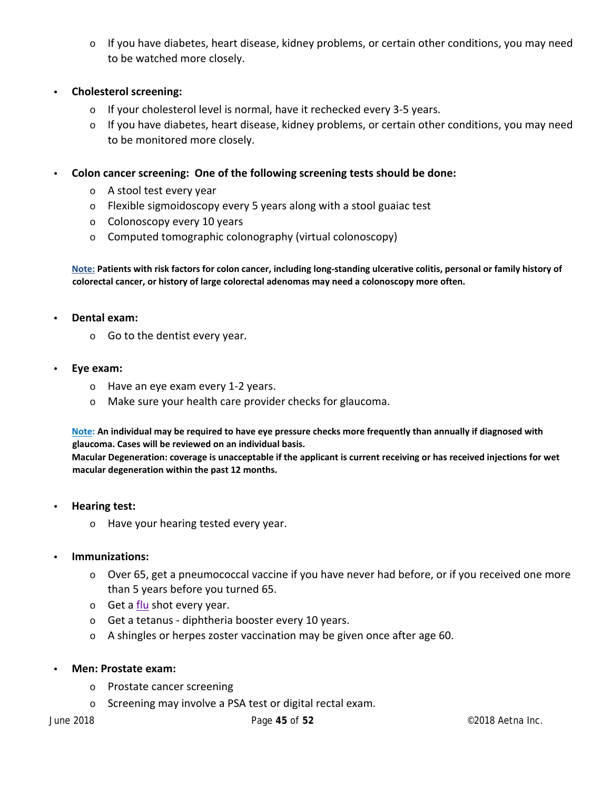- o If you have diabetes, heart disease, kidney problems, or certain other conditions, you may need to be watched more closely.
- **Cholesterol screening:**
	- o If your cholesterol level is normal, have it rechecked every 3‐5 years.
	- $\circ$  If you have diabetes, heart disease, kidney problems, or certain other conditions, you may need to be monitored more closely.
- **Colon cancer screening: One of the following screening tests should be done:**
	- o A stool test every year
	- o Flexible sigmoidoscopy every 5 years along with a stool guaiac test
	- o Colonoscopy every 10 years
	- o Computed tomographic colonography (virtual colonoscopy)

Note: Patients with risk factors for colon cancer, including long-standing ulcerative colitis, personal or family history of **colorectal cancer, or history of large colorectal adenomas may need a colonoscopy more often.**

- **Dental exam:**
	- o Go to the dentist every year.
- **Eye exam:**
	- o Have an eye exam every 1‐2 years.
	- o Make sure your health care provider checks for glaucoma.

Note: An individual may be required to have eye pressure checks more frequently than annually if diagnosed with **glaucoma. Cases will be reviewed on an individual basis.**

Macular Degeneration: coverage is unacceptable if the applicant is current receiving or has received injections for wet **macular degeneration within the past 12 months.**

- **Hearing test:**
	- o Have your hearing tested every year.
- **Immunizations:**
	- o Over 65, get a pneumococcal vaccine if you have never had before, or if you received one more than 5 years before you turned 65.
	- $\circ$  Get a flu shot every year.
	- o Get a tetanus ‐ diphtheria booster every 10 years.
	- o A shingles or herpes zoster vaccination may be given once after age 60.
- **Men: Prostate exam:**
	- o Prostate cancer screening
	- o Screening may involve a PSA test or digital rectal exam.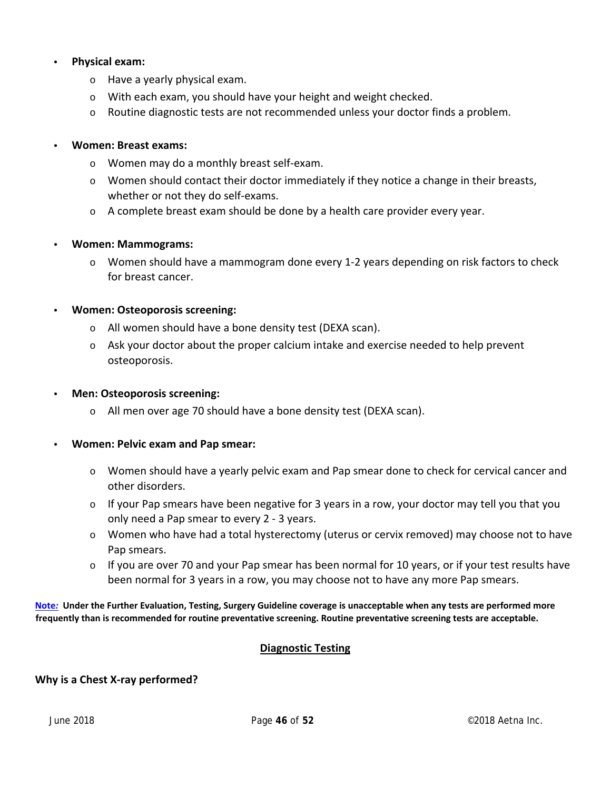#### • **Physical exam:**

- o Have a yearly physical exam.
- o With each exam, you should have your height and weight checked.
- $\circ$  Routine diagnostic tests are not recommended unless your doctor finds a problem.

#### • **Women: Breast exams:**

- o Women may do a monthly breast self‐exam.
- $\circ$  Women should contact their doctor immediately if they notice a change in their breasts, whether or not they do self‐exams.
- $\circ$  A complete breast exam should be done by a health care provider every year.

#### • **Women: Mammograms:**

o Women should have a mammogram done every 1‐2 years depending on risk factors to check for breast cancer.

#### • **Women: Osteoporosis screening:**

- o All women should have a bone density test (DEXA scan).
- o Ask your doctor about the proper calcium intake and exercise needed to help prevent osteoporosis.

#### • **Men: Osteoporosis screening:**

o All men over age 70 should have a bone density test (DEXA scan).

#### • **Women: Pelvic exam and Pap smear:**

- o Women should have a yearly pelvic exam and Pap smear done to check for cervical cancer and other disorders.
- $\circ$  If your Pap smears have been negative for 3 years in a row, your doctor may tell you that you only need a Pap smear to every 2 ‐ 3 years.
- $\circ$  Women who have had a total hysterectomy (uterus or cervix removed) may choose not to have Pap smears.
- $\circ$  If you are over 70 and your Pap smear has been normal for 10 years, or if your test results have been normal for 3 years in a row, you may choose not to have any more Pap smears.

#### Note: Under the Further Evaluation, Testing, Surgery Guideline coverage is unacceptable when any tests are performed more **frequently than is recommended for routine preventative screening. Routine preventative screening tests are acceptable.**

#### **Diagnostic Testing**

#### **Why is a Chest X‐ray performed?**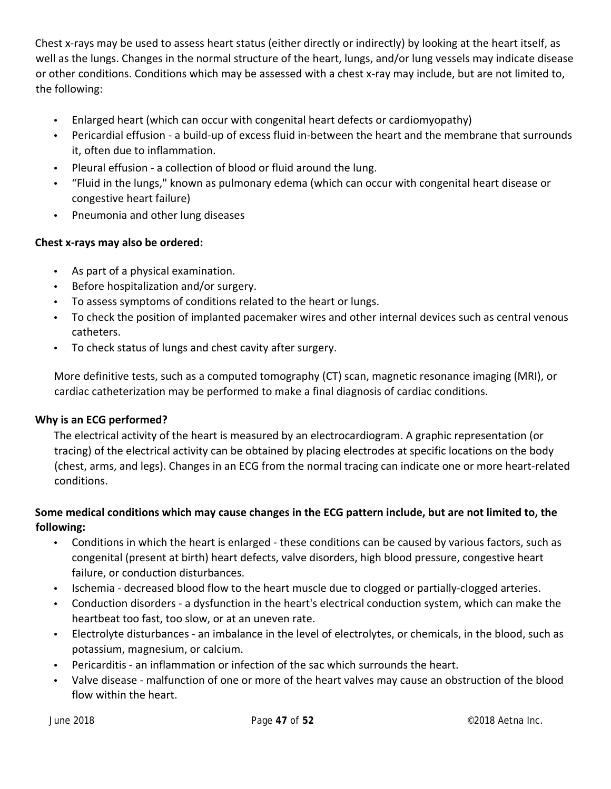Chest x‐rays may be used to assess heart status (either directly or indirectly) by looking at the heart itself, as well as the lungs. Changes in the normal structure of the heart, lungs, and/or lung vessels may indicate disease or other conditions. Conditions which may be assessed with a chest x‐ray may include, but are not limited to, the following:

- Enlarged heart (which can occur with congenital heart defects or cardiomyopathy)
- Pericardial effusion ‐ a build‐up of excess fluid in‐between the heart and the membrane that surrounds it, often due to inflammation.
- Pleural effusion ‐ a collection of blood or fluid around the lung.
- "Fluid in the lungs," known as pulmonary edema (which can occur with congenital heart disease or congestive heart failure)
- Pneumonia and other lung diseases

#### **Chest x‐rays may also be ordered:**

- As part of a physical examination.
- Before hospitalization and/or surgery.
- To assess symptoms of conditions related to the heart or lungs.
- To check the position of implanted pacemaker wires and other internal devices such as central venous catheters.
- To check status of lungs and chest cavity after surgery.

More definitive tests, such as a computed tomography (CT) scan, magnetic resonance imaging (MRI), or cardiac catheterization may be performed to make a final diagnosis of cardiac conditions.

#### **Why is an ECG performed?**

The electrical activity of the heart is measured by an electrocardiogram. A graphic representation (or tracing) of the electrical activity can be obtained by placing electrodes at specific locations on the body (chest, arms, and legs). Changes in an ECG from the normal tracing can indicate one or more heart‐related conditions.

#### Some medical conditions which may cause changes in the ECG pattern include, but are not limited to, the **following:**

- Conditions in which the heart is enlarged these conditions can be caused by various factors, such as congenital (present at birth) heart defects, valve disorders, high blood pressure, congestive heart failure, or conduction disturbances.
- Ischemia ‐ decreased blood flow to the heart muscle due to clogged or partially‐clogged arteries.
- Conduction disorders a dysfunction in the heart's electrical conduction system, which can make the heartbeat too fast, too slow, or at an uneven rate.
- Electrolyte disturbances ‐ an imbalance in the level of electrolytes, or chemicals, in the blood, such as potassium, magnesium, or calcium.
- Pericarditis ‐ an inflammation or infection of the sac which surrounds the heart.
- Valve disease ‐ malfunction of one or more of the heart valves may cause an obstruction of the blood flow within the heart.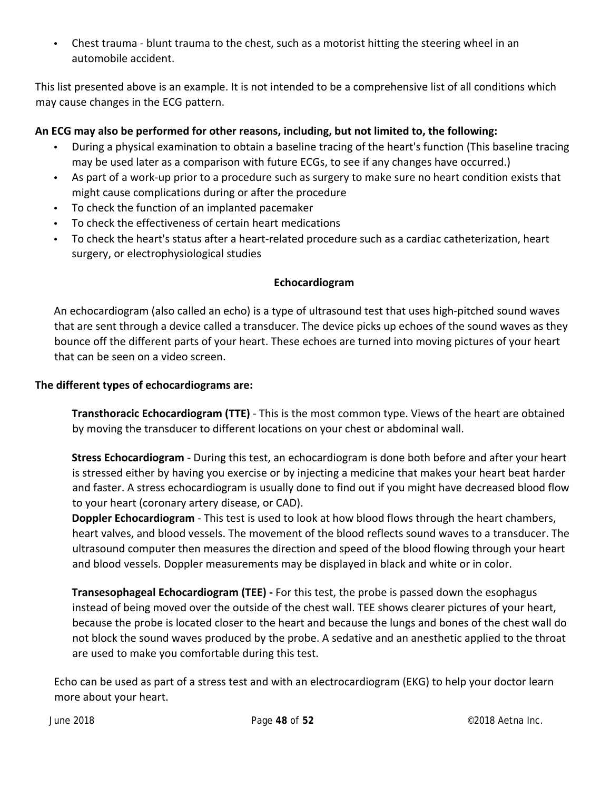• Chest trauma - blunt trauma to the chest, such as a motorist hitting the steering wheel in an automobile accident.

This list presented above is an example. It is not intended to be a comprehensive list of all conditions which may cause changes in the ECG pattern.

#### **An ECG may also be performed for other reasons, including, but not limited to, the following:**

- During a physical examination to obtain a baseline tracing of the heart's function (This baseline tracing may be used later as a comparison with future ECGs, to see if any changes have occurred.)
- As part of a work-up prior to a procedure such as surgery to make sure no heart condition exists that might cause complications during or after the procedure
- To check the function of an implanted pacemaker
- To check the effectiveness of certain heart medications
- To check the heart's status after a heart-related procedure such as a cardiac catheterization, heart surgery, or electrophysiological studies

#### **Echocardiogram**

An echocardiogram (also called an echo) is a type of ultrasound test that uses high‐pitched sound waves that are sent through a device called a transducer. The device picks up echoes of the sound waves as they bounce off the different parts of your heart. These echoes are turned into moving pictures of your heart that can be seen on a video screen.

#### **The different types of echocardiograms are:**

**Transthoracic Echocardiogram (TTE)** ‐ This is the most common type. Views of the heart are obtained by moving the transducer to different locations on your chest or abdominal wall.

**Stress Echocardiogram** ‐ During this test, an echocardiogram is done both before and after your heart is stressed either by having you exercise or by injecting a medicine that makes your heart beat harder and faster. A stress echocardiogram is usually done to find out if you might have decreased blood flow to your heart (coronary artery disease, or CAD).

**Doppler Echocardiogram** ‐ This test is used to look at how blood flows through the heart chambers, heart valves, and blood vessels. The movement of the blood reflects sound waves to a transducer. The ultrasound computer then measures the direction and speed of the blood flowing through your heart and blood vessels. Doppler measurements may be displayed in black and white or in color.

**Transesophageal Echocardiogram (TEE) ‐** For this test, the probe is passed down the esophagus instead of being moved over the outside of the chest wall. TEE shows clearer pictures of your heart, because the probe is located closer to the heart and because the lungs and bones of the chest wall do not block the sound waves produced by the probe. A sedative and an anesthetic applied to the throat are used to make you comfortable during this test.

Echo can be used as part of a stress test and with an electrocardiogram (EKG) to help your doctor learn more about your heart.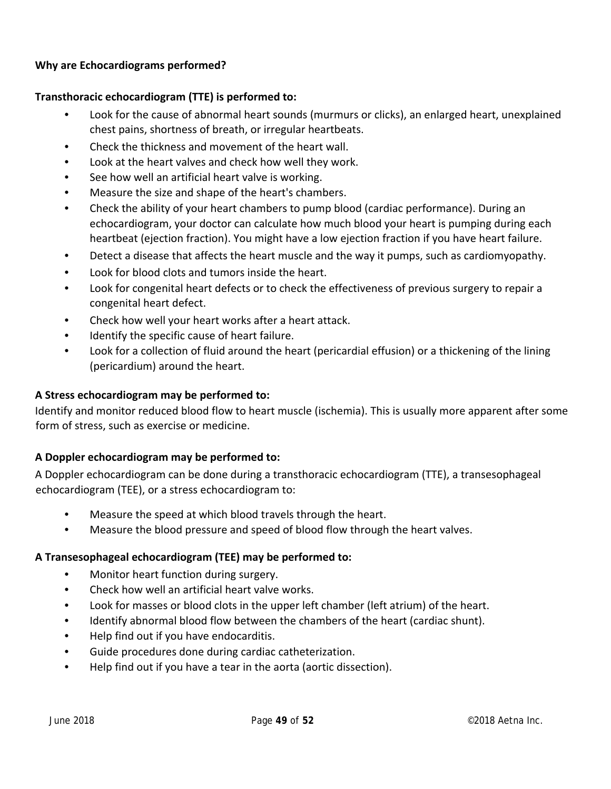#### **Why are Echocardiograms performed?**

#### **Transthoracic echocardiogram (TTE) is performed to:**

- Look for the cause of abnormal heart sounds (murmurs or clicks), an enlarged heart, unexplained chest pains, shortness of breath, or irregular heartbeats.
- Check the thickness and movement of the heart wall.
- Look at the heart valves and check how well they work.
- See how well an artificial heart valve is working.
- Measure the size and shape of the heart's chambers.
- Check the ability of your heart chambers to pump blood (cardiac performance). During an echocardiogram, your doctor can calculate how much blood your heart is pumping during each heartbeat (ejection fraction). You might have a low ejection fraction if you have heart failure.
- Detect a disease that affects the heart muscle and the way it pumps, such as cardiomyopathy.
- Look for blood clots and tumors inside the heart.
- Look for congenital heart defects or to check the effectiveness of previous surgery to repair a congenital heart defect.
- Check how well your heart works after a heart attack.
- Identify the specific cause of heart failure.
- Look for a collection of fluid around the heart (pericardial effusion) or a thickening of the lining (pericardium) around the heart.

#### **A Stress echocardiogram may be performed to:**

Identify and monitor reduced blood flow to heart muscle (ischemia). This is usually more apparent after some form of stress, such as exercise or medicine.

#### **A Doppler echocardiogram may be performed to:**

A Doppler echocardiogram can be done during a transthoracic echocardiogram (TTE), a transesophageal echocardiogram (TEE), or a stress echocardiogram to:

- Measure the speed at which blood travels through the heart.
- Measure the blood pressure and speed of blood flow through the heart valves.

#### **A Transesophageal echocardiogram (TEE) may be performed to:**

- Monitor heart function during surgery.
- Check how well an artificial heart valve works.
- Look for masses or blood clots in the upper left chamber (left atrium) of the heart.
- Identify abnormal blood flow between the chambers of the heart (cardiac shunt).
- Help find out if you have endocarditis.
- Guide procedures done during cardiac catheterization.
- Help find out if you have a tear in the aorta (aortic dissection).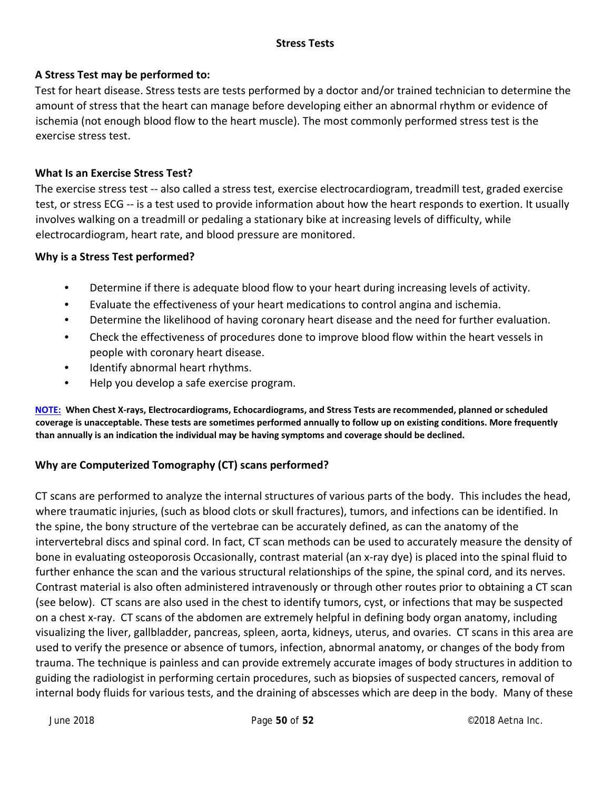#### **Stress Tests**

#### **A Stress Test may be performed to:**

Test for heart disease. Stress tests are tests performed by a doctor and/or trained technician to determine the amount of stress that the heart can manage before developing either an abnormal rhythm or evidence of ischemia (not enough blood flow to the heart muscle). The most commonly performed stress test is the exercise stress test.

#### **What Is an Exercise Stress Test?**

The exercise stress test ‐‐ also called a stress test, exercise electrocardiogram, treadmill test, graded exercise test, or stress ECG ‐‐ is a test used to provide information about how the heart responds to exertion. It usually involves walking on a treadmill or pedaling a stationary bike at increasing levels of difficulty, while electrocardiogram, heart rate, and blood pressure are monitored.

#### **Why is a Stress Test performed?**

- Determine if there is adequate blood flow to your heart during increasing levels of activity.
- Evaluate the effectiveness of your heart medications to control angina and ischemia.
- Determine the likelihood of having coronary heart disease and the need for further evaluation.
- Check the effectiveness of procedures done to improve blood flow within the heart vessels in people with coronary heart disease.
- Identify abnormal heart rhythms.
- Help you develop a safe exercise program.

NOTE: When Chest X-rays, Electrocardiograms, Echocardiograms, and Stress Tests are recommended, planned or scheduled coverage is unacceptable. These tests are sometimes performed annually to follow up on existing conditions. More frequently **than annually is an indication the individual may be having symptoms and coverage should be declined.**

#### **Why are Computerized Tomography (CT) scans performed?**

CT scans are performed to analyze the internal structures of various parts of the body. This includes the head, where traumatic injuries, (such as blood clots or skull fractures), tumors, and infections can be identified. In the spine, the bony structure of the vertebrae can be accurately defined, as can the anatomy of the intervertebral discs and spinal cord. In fact, CT scan methods can be used to accurately measure the density of bone in evaluating osteoporosis Occasionally, contrast material (an x‐ray dye) is placed into the spinal fluid to further enhance the scan and the various structural relationships of the spine, the spinal cord, and its nerves. Contrast material is also often administered intravenously or through other routes prior to obtaining a CT scan (see below). CT scans are also used in the chest to identify tumors, cyst, or infections that may be suspected on a chest x‐ray. CT scans of the abdomen are extremely helpful in defining body organ anatomy, including visualizing the liver, gallbladder, pancreas, spleen, aorta, kidneys, uterus, and ovaries. CT scans in this area are used to verify the presence or absence of tumors, infection, abnormal anatomy, or changes of the body from trauma. The technique is painless and can provide extremely accurate images of body structures in addition to guiding the radiologist in performing certain procedures, such as biopsies of suspected cancers, removal of internal body fluids for various tests, and the draining of abscesses which are deep in the body. Many of these

June 2018 Page **50** of **52**  ©2018 Aetna Inc.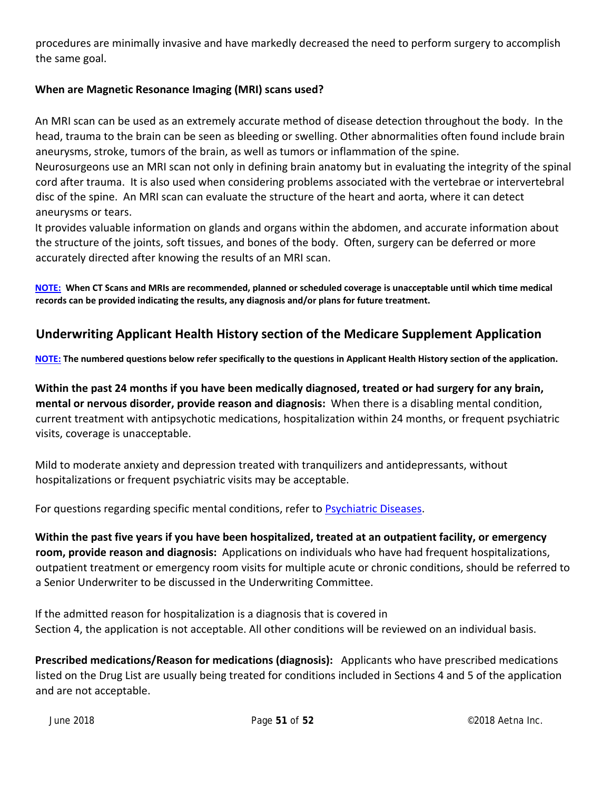procedures are minimally invasive and have markedly decreased the need to perform surgery to accomplish the same goal.

#### **When are Magnetic Resonance Imaging (MRI) scans used?**

An MRI scan can be used as an extremely accurate method of disease detection throughout the body. In the head, trauma to the brain can be seen as bleeding or swelling. Other abnormalities often found include brain aneurysms, stroke, tumors of the brain, as well as tumors or inflammation of the spine.

Neurosurgeons use an MRI scan not only in defining brain anatomy but in evaluating the integrity of the spinal cord after trauma. It is also used when considering problems associated with the vertebrae or intervertebral disc of the spine. An MRI scan can evaluate the structure of the heart and aorta, where it can detect aneurysms or tears.

It provides valuable information on glands and organs within the abdomen, and accurate information about the structure of the joints, soft tissues, and bones of the body. Often, surgery can be deferred or more accurately directed after knowing the results of an MRI scan.

NOTE: When CT Scans and MRIs are recommended, planned or scheduled coverage is unacceptable until which time medical **records can be provided indicating the results, any diagnosis and/or plans for future treatment.**

## **Underwriting Applicant Health History section of the Medicare Supplement Application**

NOTE: The numbered questions below refer specifically to the questions in Applicant Health History section of the application.

Within the past 24 months if you have been medically diagnosed, treated or had surgery for any brain, **mental or nervous disorder, provide reason and diagnosis:** When there is a disabling mental condition, current treatment with antipsychotic medications, hospitalization within 24 months, or frequent psychiatric visits, coverage is unacceptable.

Mild to moderate anxiety and depression treated with tranquilizers and antidepressants, without hospitalizations or frequent psychiatric visits may be acceptable.

For questions regarding specific mental conditions, refer to Psychiatric Diseases.

**Within the past five years if you have been hospitalized, treated at an outpatient facility, or emergency room, provide reason and diagnosis:** Applications on individuals who have had frequent hospitalizations, outpatient treatment or emergency room visits for multiple acute or chronic conditions, should be referred to a Senior Underwriter to be discussed in the Underwriting Committee.

If the admitted reason for hospitalization is a diagnosis that is covered in Section 4, the application is not acceptable. All other conditions will be reviewed on an individual basis.

**Prescribed medications/Reason for medications (diagnosis):** Applicants who have prescribed medications listed on the Drug List are usually being treated for conditions included in Sections 4 and 5 of the application and are not acceptable.